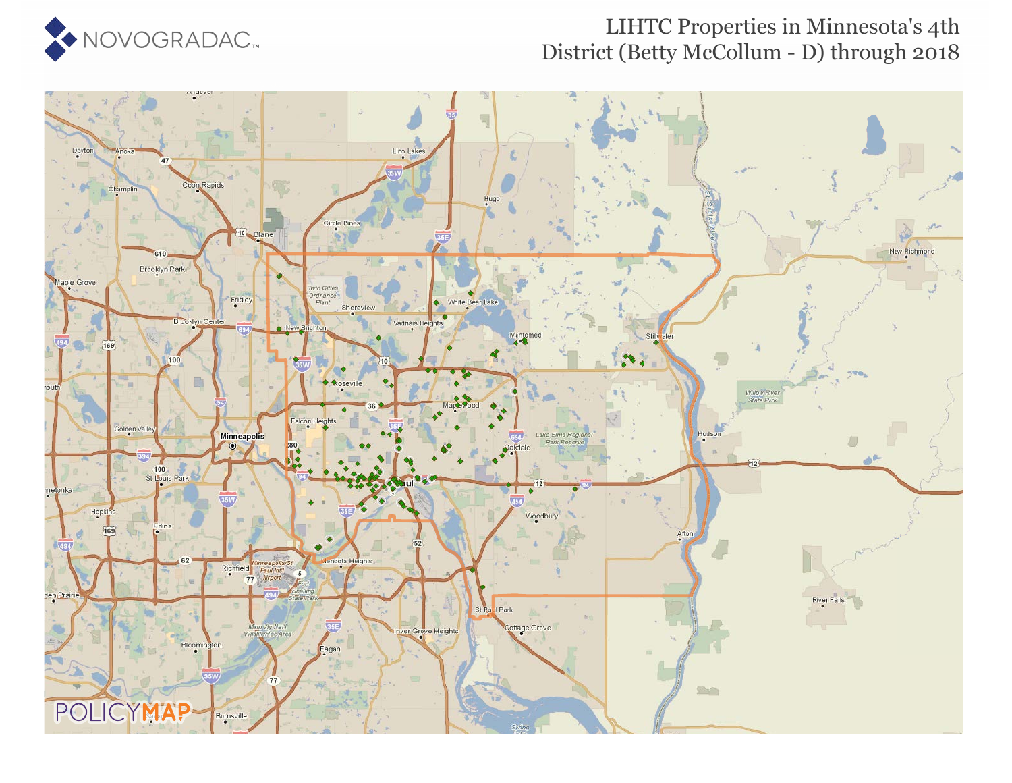

### LIHTC Properties in Minnesota's 4th District (Betty McCollum - D) through 2018

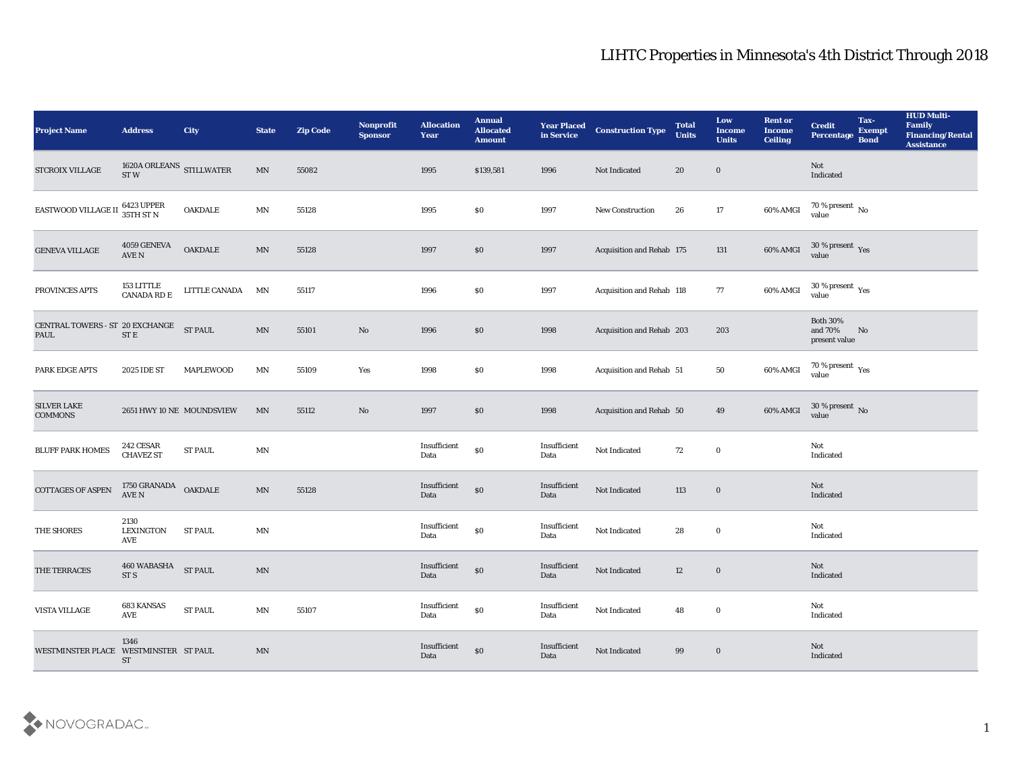| <b>Project Name</b>                     | <b>Address</b>                                         | City                      | <b>State</b>               | <b>Zip Code</b> | Nonprofit<br><b>Sponsor</b> | <b>Allocation</b><br><b>Year</b> | <b>Annual</b><br><b>Allocated</b><br><b>Amount</b> | <b>Year Placed</b><br>in Service | <b>Construction Type</b>         | <b>Total</b><br><b>Units</b> | Low<br><b>Income</b><br><b>Units</b> | <b>Rent or</b><br><b>Income</b><br><b>Ceiling</b> | <b>Credit</b><br>Percentage                 | Tax-<br><b>Exempt</b><br><b>Bond</b> | <b>HUD Multi-</b><br>Family<br><b>Financing/Rental</b><br><b>Assistance</b> |
|-----------------------------------------|--------------------------------------------------------|---------------------------|----------------------------|-----------------|-----------------------------|----------------------------------|----------------------------------------------------|----------------------------------|----------------------------------|------------------------------|--------------------------------------|---------------------------------------------------|---------------------------------------------|--------------------------------------|-----------------------------------------------------------------------------|
| STCROIX VILLAGE                         | 1620A ORLEANS $$\tt STILLWATER$$ ST $W$                |                           | $\ensuremath{\text{MN}}$   | 55082           |                             | 1995                             | \$139,581                                          | 1996                             | Not Indicated                    | 20                           | $\bf{0}$                             |                                                   | Not<br>Indicated                            |                                      |                                                                             |
| EASTWOOD VILLAGE II                     | 6423 UPPER<br>35TH ST N                                | <b>OAKDALE</b>            | MN                         | 55128           |                             | 1995                             | \$0                                                | 1997                             | <b>New Construction</b>          | 26                           | 17                                   | 60% AMGI                                          | $70\,\%$ present $\,$ No value              |                                      |                                                                             |
| <b>GENEVA VILLAGE</b>                   | 4059 GENEVA<br>$\operatorname{AVE}$ N                  | <b>OAKDALE</b>            | $\ensuremath{\text{MN}}$   | 55128           |                             | 1997                             | $\$0$                                              | 1997                             | <b>Acquisition and Rehab 175</b> |                              | 131                                  | 60% AMGI                                          | $30\,\%$ present $\,$ Yes value             |                                      |                                                                             |
| PROVINCES APTS                          | $153\rm~LITTLE$<br>CANADA RD $\boldsymbol{\mathrm{E}}$ | LITTLE CANADA             | MN                         | 55117           |                             | 1996                             | \$0                                                | 1997                             | Acquisition and Rehab 118        |                              | 77                                   | 60% AMGI                                          | $30\,\%$ present $\,$ Yes value             |                                      |                                                                             |
| CENTRAL TOWERS - ST 20 EXCHANGE<br>PAUL | ${\rm \bf ST}$ E                                       | <b>ST PAUL</b>            | $\ensuremath{\text{MN}}$   | 55101           | $\rm \bf No$                | 1996                             | $\$0$                                              | 1998                             | Acquisition and Rehab 203        |                              | 203                                  |                                                   | <b>Both 30%</b><br>and 70%<br>present value | No                                   |                                                                             |
| <b>PARK EDGE APTS</b>                   | <b>2025 IDE ST</b>                                     | MAPLEWOOD                 | MN                         | 55109           | Yes                         | 1998                             | \$0                                                | 1998                             | Acquisition and Rehab 51         |                              | 50                                   | 60% AMGI                                          | $70\,\%$ present $\,$ Yes value             |                                      |                                                                             |
| SILVER LAKE<br><b>COMMONS</b>           |                                                        | 2651 HWY 10 NE MOUNDSVIEW | MN                         | 55112           | No                          | 1997                             | \$0                                                | 1998                             | Acquisition and Rehab 50         |                              | 49                                   | 60% AMGI                                          | $30\,\%$ present $\,$ No value              |                                      |                                                                             |
| <b>BLUFF PARK HOMES</b>                 | 242 CESAR<br><b>CHAVEZ ST</b>                          | <b>ST PAUL</b>            | MN                         |                 |                             | Insufficient<br>Data             | $\$0$                                              | Insufficient<br>Data             | Not Indicated                    | 72                           | $\bf{0}$                             |                                                   | Not<br>Indicated                            |                                      |                                                                             |
| <b>COTTAGES OF ASPEN</b>                | 1750 GRANADA<br>$\operatorname{AVE}$ N                 | <b>OAKDALE</b>            | $\ensuremath{\text{MN}}$   | 55128           |                             | Insufficient<br>Data             | $\$0$                                              | Insufficient<br>Data             | Not Indicated                    | 113                          | $\bf{0}$                             |                                                   | Not<br>Indicated                            |                                      |                                                                             |
| THE SHORES                              | 2130<br><b>LEXINGTON</b><br>AVE                        | <b>ST PAUL</b>            | MN                         |                 |                             | Insufficient<br>Data             | $\$0$                                              | Insufficient<br>Data             | Not Indicated                    | 28                           | $\bf{0}$                             |                                                   | Not<br>Indicated                            |                                      |                                                                             |
| THE TERRACES                            | 460 WABASHA<br>ST <sub>S</sub>                         | <b>ST PAUL</b>            | $\ensuremath{\text{MN}}$   |                 |                             | Insufficient<br>Data             | $\$0$                                              | Insufficient<br>Data             | Not Indicated                    | 12                           | $\bf{0}$                             |                                                   | Not<br>Indicated                            |                                      |                                                                             |
| <b>VISTA VILLAGE</b>                    | 683 KANSAS<br>AVE                                      | <b>ST PAUL</b>            | $\mathop{\rm MN}\nolimits$ | 55107           |                             | Insufficient<br>Data             | $\$0$                                              | Insufficient<br>Data             | Not Indicated                    | 48                           | $\bf{0}$                             |                                                   | Not<br>Indicated                            |                                      |                                                                             |
| WESTMINSTER PLACE WESTMINSTER ST PAUL   | 1346<br>${\rm ST}$                                     |                           | $\ensuremath{\text{MN}}$   |                 |                             | Insufficient<br>Data             | $\$0$                                              | Insufficient<br>Data             | Not Indicated                    | 99                           | $\bf{0}$                             |                                                   | Not<br>Indicated                            |                                      |                                                                             |

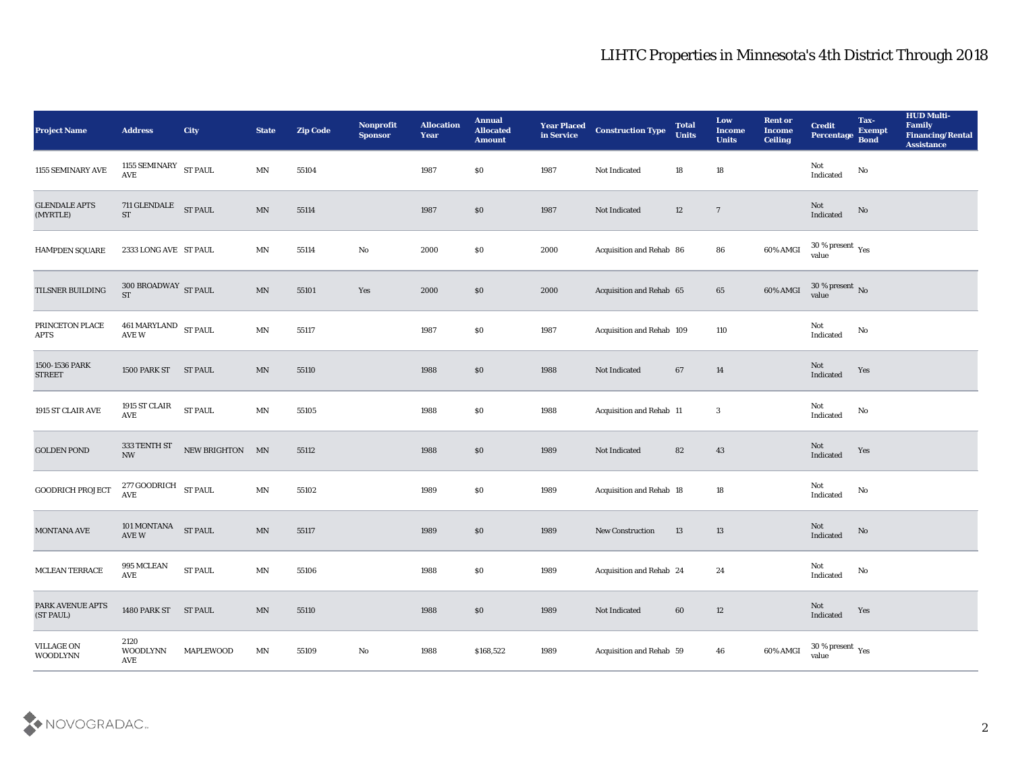| <b>Project Name</b>                  | <b>Address</b>                                               | <b>City</b>     | <b>State</b>               | <b>Zip Code</b> | Nonprofit<br><b>Sponsor</b> | <b>Allocation</b><br><b>Year</b> | <b>Annual</b><br><b>Allocated</b><br><b>Amount</b> | <b>Year Placed</b><br>in Service | <b>Construction Type</b>  | <b>Total</b><br><b>Units</b> | Low<br><b>Income</b><br><b>Units</b> | <b>Rent or</b><br><b>Income</b><br><b>Ceiling</b> | <b>Credit</b><br>Percentage            | Tax-<br><b>Exempt</b><br><b>Bond</b> | <b>HUD Multi-</b><br>Family<br><b>Financing/Rental</b><br><b>Assistance</b> |
|--------------------------------------|--------------------------------------------------------------|-----------------|----------------------------|-----------------|-----------------------------|----------------------------------|----------------------------------------------------|----------------------------------|---------------------------|------------------------------|--------------------------------------|---------------------------------------------------|----------------------------------------|--------------------------------------|-----------------------------------------------------------------------------|
| 1155 SEMINARY AVE                    | 1155 ${\sf SEMINARY} \hspace{-0.2cm} \centering$ ST PAUL AVE |                 | MN                         | 55104           |                             | 1987                             | $\$0$                                              | 1987                             | Not Indicated             | 18                           | 18                                   |                                                   | Not<br>Indicated                       | $\mathbf {No}$                       |                                                                             |
| <b>GLENDALE APTS</b><br>(MYRTLE)     | 711 GLENDALE ST PAUL<br><b>ST</b>                            |                 | MN                         | 55114           |                             | 1987                             | \$0                                                | 1987                             | Not Indicated             | 12                           | $\overline{7}$                       |                                                   | $\operatorname{\bf Not}$<br>Indicated  | No                                   |                                                                             |
| <b>HAMPDEN SQUARE</b>                | 2333 LONG AVE ST PAUL                                        |                 | $\mathbf{M} \mathbf{N}$    | 55114           | $\rm\thinspace No$          | 2000                             | \$0                                                | 2000                             | Acquisition and Rehab 86  |                              | 86                                   | 60% AMGI                                          | $30\,\%$ present $\,$ Yes value        |                                      |                                                                             |
| TILSNER BUILDING                     | 300 BROADWAY ST PAUL<br><b>ST</b>                            |                 | MN                         | 55101           | Yes                         | 2000                             | \$0                                                | 2000                             | Acquisition and Rehab 65  |                              | 65                                   | 60% AMGI                                          | $30\,\%$ present $\,$ No value         |                                      |                                                                             |
| PRINCETON PLACE<br>APTS              | $461\,\mathrm{MARYLAND} \quad$ ST PAUL AVE W                 |                 | $\ensuremath{\text{MN}}$   | 55117           |                             | 1987                             | \$0                                                | 1987                             | Acquisition and Rehab 109 |                              | 110                                  |                                                   | Not<br>Indicated                       | $\mathbf{N}\mathbf{o}$               |                                                                             |
| 1500-1536 PARK<br><b>STREET</b>      | 1500 PARK ST ST PAUL                                         |                 | MN                         | 55110           |                             | 1988                             | \$0                                                | 1988                             | Not Indicated             | 67                           | 14                                   |                                                   | Not<br>Indicated                       | Yes                                  |                                                                             |
| 1915 ST CLAIR AVE                    | 1915 ST CLAIR<br>AVE                                         | <b>ST PAUL</b>  | $\mathbf{M} \mathbf{N}$    | 55105           |                             | 1988                             | \$0                                                | 1988                             | Acquisition and Rehab 11  |                              | 3                                    |                                                   | Not<br>Indicated                       | No                                   |                                                                             |
| <b>GOLDEN POND</b>                   | 333 TENTH ST<br><b>NW</b>                                    | NEW BRIGHTON MN |                            | 55112           |                             | 1988                             | \$0                                                | 1989                             | Not Indicated             | 82                           | 43                                   |                                                   | Not<br>Indicated                       | Yes                                  |                                                                             |
| <b>GOODRICH PROJECT</b>              | 277 GOODRICH ST PAUL<br>$\operatorname{AVE}$                 |                 | $\mathop{\rm MN}\nolimits$ | 55102           |                             | 1989                             | \$0                                                | 1989                             | Acquisition and Rehab 18  |                              | 18                                   |                                                   | Not<br>Indicated                       | $\mathbf{N}\mathbf{o}$               |                                                                             |
| MONTANA AVE                          | 101 MONTANA<br>AVE W                                         | <b>ST PAUL</b>  | MN                         | 55117           |                             | 1989                             | \$0                                                | 1989                             | <b>New Construction</b>   | 13                           | 13                                   |                                                   | Not<br>Indicated                       | No                                   |                                                                             |
| MCLEAN TERRACE                       | 995 MCLEAN<br>AVE                                            | <b>ST PAUL</b>  | $\ensuremath{\text{MN}}$   | 55106           |                             | 1988                             | \$0                                                | 1989                             | Acquisition and Rehab 24  |                              | 24                                   |                                                   | Not<br>Indicated                       | No                                   |                                                                             |
| PARK AVENUE APTS<br>(ST PAUL)        | 1480 PARK ST ST PAUL                                         |                 | $\ensuremath{\text{MN}}$   | 55110           |                             | 1988                             | $\$0$                                              | 1989                             | Not Indicated             | $60\,$                       | $12\,$                               |                                                   | $\operatorname{\bf Not}$<br>Indicated  | Yes                                  |                                                                             |
| <b>VILLAGE ON</b><br><b>WOODLYNN</b> | 2120<br>WOODLYNN<br>AVE                                      | MAPLEWOOD       | $\mathbf{M} \mathbf{N}$    | 55109           | $\mathbf {No}$              | 1988                             | \$168,522                                          | 1989                             | Acquisition and Rehab 59  |                              | 46                                   | 60% AMGI                                          | $30$ % present $\,$ $\rm Yes$<br>value |                                      |                                                                             |

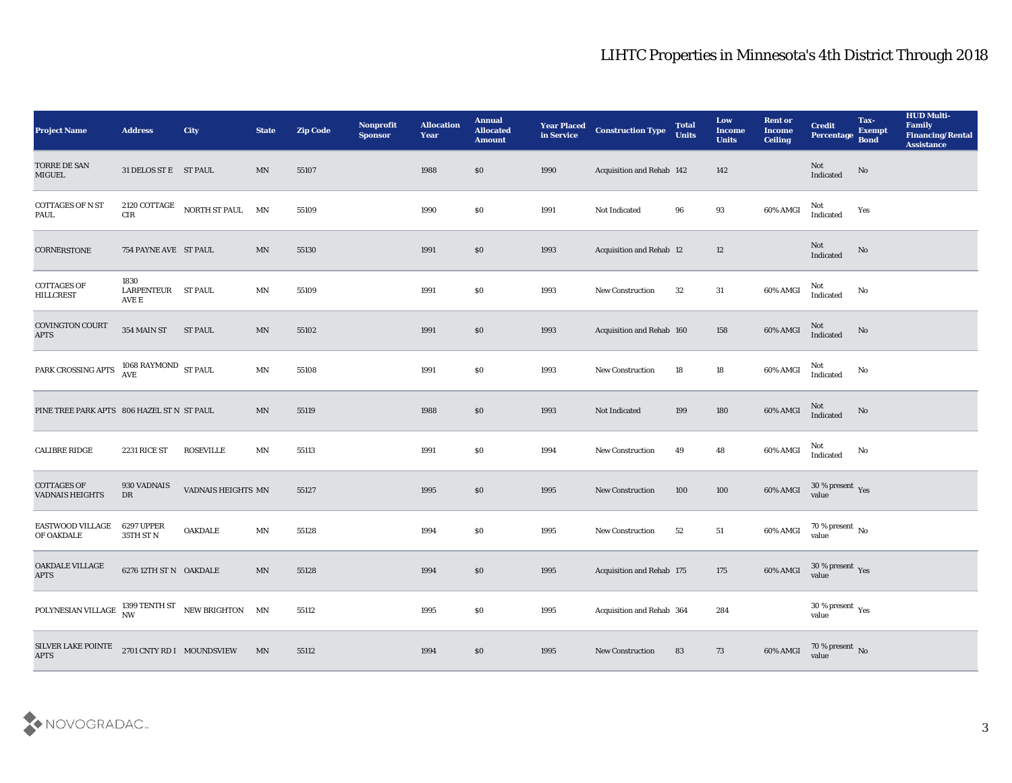| <b>Project Name</b>                                                          | <b>Address</b>                                         | City               | <b>State</b>            | <b>Zip Code</b> | Nonprofit<br><b>Sponsor</b> | <b>Allocation</b><br><b>Year</b> | <b>Annual</b><br><b>Allocated</b><br><b>Amount</b> | <b>Year Placed</b><br>in Service | <b>Construction Type</b>         | <b>Total</b><br><b>Units</b> | Low<br><b>Income</b><br><b>Units</b> | <b>Rent or</b><br><b>Income</b><br><b>Ceiling</b> | <b>Credit</b><br>Percentage     | Tax-<br><b>Exempt</b><br><b>Bond</b> | <b>HUD Multi-</b><br>Family<br><b>Financing/Rental</b><br><b>Assistance</b> |
|------------------------------------------------------------------------------|--------------------------------------------------------|--------------------|-------------------------|-----------------|-----------------------------|----------------------------------|----------------------------------------------------|----------------------------------|----------------------------------|------------------------------|--------------------------------------|---------------------------------------------------|---------------------------------|--------------------------------------|-----------------------------------------------------------------------------|
| <b>TORRE DE SAN</b><br><b>MIGUEL</b>                                         | 31 DELOS ST E ST PAUL                                  |                    | MN                      | 55107           |                             | 1988                             | \$0                                                | 1990                             | Acquisition and Rehab 142        |                              | 142                                  |                                                   | Not<br>Indicated                | No                                   |                                                                             |
| COTTAGES OF N ST<br>PAUL                                                     | 2120 COTTAGE<br>CIR                                    | NORTH ST PAUL MN   |                         | 55109           |                             | 1990                             | \$0                                                | 1991                             | Not Indicated                    | 96                           | 93                                   | 60% AMGI                                          | Not<br>Indicated                | Yes                                  |                                                                             |
| <b>CORNERSTONE</b>                                                           | 754 PAYNE AVE ST PAUL                                  |                    | MN                      | 55130           |                             | 1991                             | \$0                                                | 1993                             | Acquisition and Rehab 12         |                              | 12                                   |                                                   | Not<br>Indicated                | No                                   |                                                                             |
| <b>COTTAGES OF</b><br><b>HILLCREST</b>                                       | 1830<br>LARPENTEUR<br>AVE E                            | <b>ST PAUL</b>     | MN                      | 55109           |                             | 1991                             | \$0                                                | 1993                             | New Construction                 | 32                           | 31                                   | 60% AMGI                                          | Not<br>Indicated                | No                                   |                                                                             |
| <b>COVINGTON COURT</b><br><b>APTS</b>                                        | 354 MAIN ST                                            | <b>ST PAUL</b>     | MN                      | 55102           |                             | 1991                             | \$0                                                | 1993                             | Acquisition and Rehab 160        |                              | 158                                  | 60% AMGI                                          | Not<br>Indicated                | No                                   |                                                                             |
| PARK CROSSING APTS                                                           | $1068$ RAYMOND $\,$ ST PAUL AVE                        |                    | $\mathbf{M} \mathbf{N}$ | 55108           |                             | 1991                             | \$0                                                | 1993                             | <b>New Construction</b>          | 18                           | 18                                   | 60% AMGI                                          | Not<br>Indicated                | No                                   |                                                                             |
| PINE TREE PARK APTS 806 HAZEL ST N ST PAUL                                   |                                                        |                    | MN                      | 55119           |                             | 1988                             | \$0                                                | 1993                             | Not Indicated                    | 199                          | 180                                  | 60% AMGI                                          | Not<br>Indicated                | No                                   |                                                                             |
| <b>CALIBRE RIDGE</b>                                                         | <b>2231 RICE ST</b>                                    | <b>ROSEVILLE</b>   | MN                      | 55113           |                             | 1991                             | \$0                                                | 1994                             | <b>New Construction</b>          | 49                           | 48                                   | 60% AMGI                                          | Not<br>Indicated                | No                                   |                                                                             |
| <b>COTTAGES OF</b><br><b>VADNAIS HEIGHTS</b>                                 | 930 VADNAIS<br>DR                                      | VADNAIS HEIGHTS MN |                         | 55127           |                             | 1995                             | \$0                                                | 1995                             | <b>New Construction</b>          | 100                          | 100                                  | 60% AMGI                                          | $30\,\%$ present $\,$ Yes value |                                      |                                                                             |
| EASTWOOD VILLAGE<br>OF OAKDALE                                               | 6297 UPPER<br>$35\mathrm{TH}\:\mathrm{ST}\:\mathrm{N}$ | <b>OAKDALE</b>     | MN                      | 55128           |                             | 1994                             | \$0                                                | 1995                             | <b>New Construction</b>          | 52                           | 51                                   | 60% AMGI                                          | $70\,\%$ present $\,$ No value  |                                      |                                                                             |
| OAKDALE VILLAGE<br><b>APTS</b>                                               | 6276 12TH ST N OAKDALE                                 |                    | MN                      | 55128           |                             | 1994                             | \$0                                                | 1995                             | <b>Acquisition and Rehab 175</b> |                              | 175                                  | 60% AMGI                                          | 30 % present Yes<br>value       |                                      |                                                                             |
| POLYNESIAN VILLAGE $\frac{1399}{\rm{NW}}$ TENTH ST $\;$ NEW BRIGHTON $\;$ MN |                                                        |                    |                         | 55112           |                             | 1995                             | \$0                                                | 1995                             | Acquisition and Rehab 364        |                              | 284                                  |                                                   | $30\,\%$ present $\,$ Yes value |                                      |                                                                             |
| SILVER LAKE POINTE<br>2701 CNTY RD I   MOUNDSVIEW APTS                       |                                                        |                    | MN                      | 55112           |                             | 1994                             | \$0                                                | 1995                             | <b>New Construction</b>          | 83                           | 73                                   | 60% AMGI                                          | $70\,\%$ present $\,$ No value  |                                      |                                                                             |

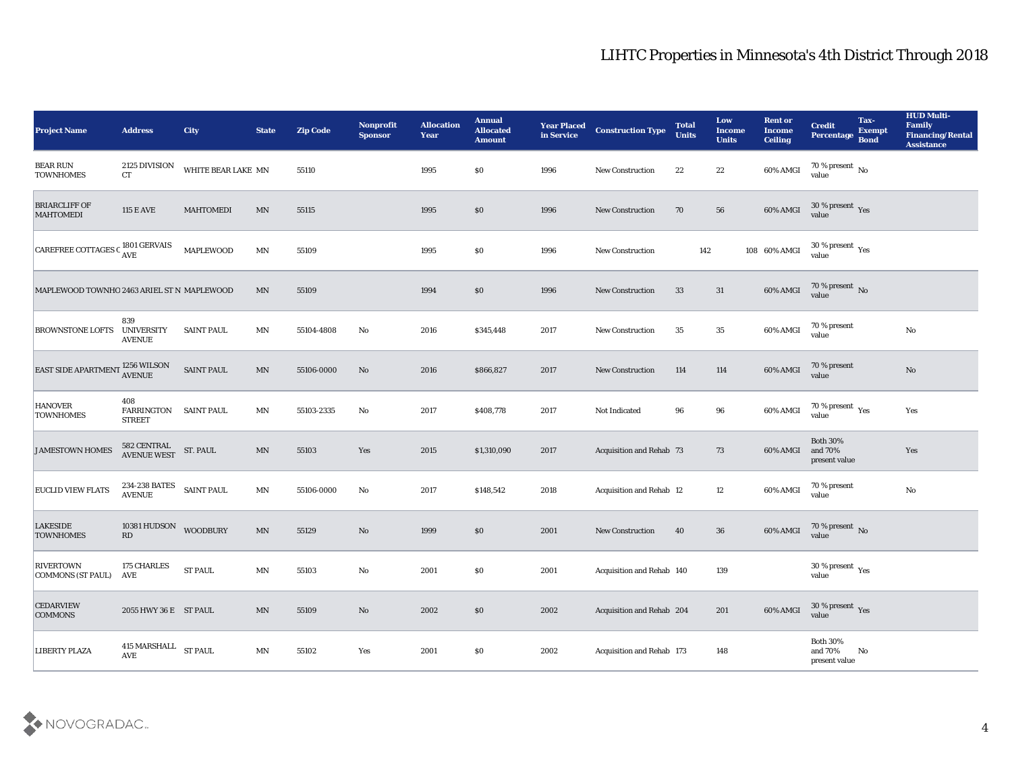| <b>Project Name</b>                                                                                                                                                    | <b>Address</b>                            | <b>City</b>        | <b>State</b>            | <b>Zip Code</b> | Nonprofit<br><b>Sponsor</b> | <b>Allocation</b><br><b>Year</b> | <b>Annual</b><br><b>Allocated</b><br><b>Amount</b> | <b>Year Placed</b><br>in Service | <b>Construction Type</b>        | <b>Total</b><br><b>Units</b> | Low<br><b>Income</b><br><b>Units</b> | <b>Rent or</b><br><b>Income</b><br><b>Ceiling</b> | <b>Credit</b><br>Percentage                 | Tax-<br><b>Exempt</b><br><b>Bond</b> | <b>HUD Multi-</b><br>Family<br><b>Financing/Rental</b><br><b>Assistance</b> |
|------------------------------------------------------------------------------------------------------------------------------------------------------------------------|-------------------------------------------|--------------------|-------------------------|-----------------|-----------------------------|----------------------------------|----------------------------------------------------|----------------------------------|---------------------------------|------------------------------|--------------------------------------|---------------------------------------------------|---------------------------------------------|--------------------------------------|-----------------------------------------------------------------------------|
| <b>BEAR RUN</b><br><b>TOWNHOMES</b>                                                                                                                                    | 2125 DIVISION<br>CT                       | WHITE BEAR LAKE MN |                         | 55110           |                             | 1995                             | $\$0$                                              | 1996                             | <b>New Construction</b>         | 22                           | 22                                   | 60% AMGI                                          | 70 % present $\,$ No $\,$<br>value          |                                      |                                                                             |
| <b>BRIARCLIFF OF</b><br><b>MAHTOMEDI</b>                                                                                                                               | <b>115 E AVE</b>                          | <b>MAHTOMEDI</b>   | MN                      | 55115           |                             | 1995                             | $\$0$                                              | 1996                             | <b>New Construction</b>         | 70                           | 56                                   | 60% AMGI                                          | $30\,\%$ present $\,$ Yes value             |                                      |                                                                             |
| CAREFREE COTTAGES C $^{1801}_{\rm{AVE}}$                                                                                                                               |                                           | <b>MAPLEWOOD</b>   | $\mathbf{M} \mathbf{N}$ | 55109           |                             | 1995                             | \$0\$                                              | 1996                             | <b>New Construction</b>         | 142                          |                                      | 108 60% AMGI                                      | $30\,\%$ present $\,\mathrm{Yes}$<br>value  |                                      |                                                                             |
| MAPLEWOOD TOWNHO 2463 ARIEL ST N MAPLEWOOD                                                                                                                             |                                           |                    | MN                      | 55109           |                             | 1994                             | $\$0$                                              | 1996                             | <b>New Construction</b>         | 33                           | 31                                   | 60% AMGI                                          | $70\,\%$ present $\,$ No value              |                                      |                                                                             |
| <b>BROWNSTONE LOFTS</b>                                                                                                                                                | 839<br>UNIVERSITY<br><b>AVENUE</b>        | <b>SAINT PAUL</b>  | MN                      | 55104-4808      | No                          | 2016                             | \$345,448                                          | 2017                             | <b>New Construction</b>         | 35                           | 35                                   | 60% AMGI                                          | 70 % present<br>value                       |                                      | $\mathbf{N}\mathbf{o}$                                                      |
| $\fbox{EAST SIDE APARTMENT} \begin{tabular}{ c c } \hline \textbf{EAST SIDE APARTMENT} \end{tabular} \begin{tabular}{ c c } \hline \textbf{1256 WILSON} \end{tabular}$ |                                           | <b>SAINT PAUL</b>  | MN                      | 55106-0000      | No                          | 2016                             | \$866,827                                          | 2017                             | <b>New Construction</b>         | 114                          | 114                                  | 60% AMGI                                          | 70 % present<br>value                       |                                      | No                                                                          |
| <b>HANOVER</b><br><b>TOWNHOMES</b>                                                                                                                                     | 408<br><b>FARRINGTON</b><br><b>STREET</b> | <b>SAINT PAUL</b>  | MN                      | 55103-2335      | No                          | 2017                             | \$408,778                                          | 2017                             | Not Indicated                   | 96                           | 96                                   | 60% AMGI                                          | 70 % present $_{\rm Yes}$<br>value          |                                      | Yes                                                                         |
| <b>JAMESTOWN HOMES</b>                                                                                                                                                 | 582 CENTRAL<br>AVENUE WEST                | ST. PAUL           | $\mathbf{M} \mathbf{N}$ | 55103           | Yes                         | 2015                             | \$1,310,090                                        | 2017                             | <b>Acquisition and Rehab 73</b> |                              | 73                                   | 60% AMGI                                          | <b>Both 30%</b><br>and 70%<br>present value |                                      | Yes                                                                         |
| <b>EUCLID VIEW FLATS</b>                                                                                                                                               | 234-238 BATES<br><b>AVENUE</b>            | <b>SAINT PAUL</b>  | MN                      | 55106-0000      | No                          | 2017                             | \$148,542                                          | 2018                             | Acquisition and Rehab 12        |                              | 12                                   | 60% AMGI                                          | 70 % present<br>value                       |                                      | No                                                                          |
| <b>LAKESIDE</b><br><b>TOWNHOMES</b>                                                                                                                                    | 10381 HUDSON<br>RD                        | <b>WOODBURY</b>    | MN                      | 55129           | No                          | 1999                             | $\$0$                                              | 2001                             | New Construction                | 40                           | 36                                   | 60% AMGI                                          | $70\,\%$ present $\,$ No value              |                                      |                                                                             |
| <b>RIVERTOWN</b><br>COMMONS (ST PAUL)                                                                                                                                  | 175 CHARLES<br>AVE                        | <b>ST PAUL</b>     | MN                      | 55103           | No                          | 2001                             | $\$0$                                              | 2001                             | Acquisition and Rehab 140       |                              | 139                                  |                                                   | 30 % present $_{\rm Yes}$<br>value          |                                      |                                                                             |
| <b>CEDARVIEW</b><br><b>COMMONS</b>                                                                                                                                     | 2055 HWY 36 E ST PAUL                     |                    | $\text{MN}$             | 55109           | $\mathbf {No}$              | 2002                             | $\$0$                                              | 2002                             | Acquisition and Rehab 204       |                              | 201                                  | 60% AMGI                                          | $30\,\%$ present $\,$ Yes value             |                                      |                                                                             |
| <b>LIBERTY PLAZA</b>                                                                                                                                                   | 415 MARSHALL ST PAUL<br><b>AVE</b>        |                    | $\mathbf{M} \mathbf{N}$ | 55102           | Yes                         | 2001                             | \$0\$                                              | 2002                             | Acquisition and Rehab 173       |                              | 148                                  |                                                   | Both $30\%$<br>and $70\%$<br>present value  | $\mathbf{No}$                        |                                                                             |

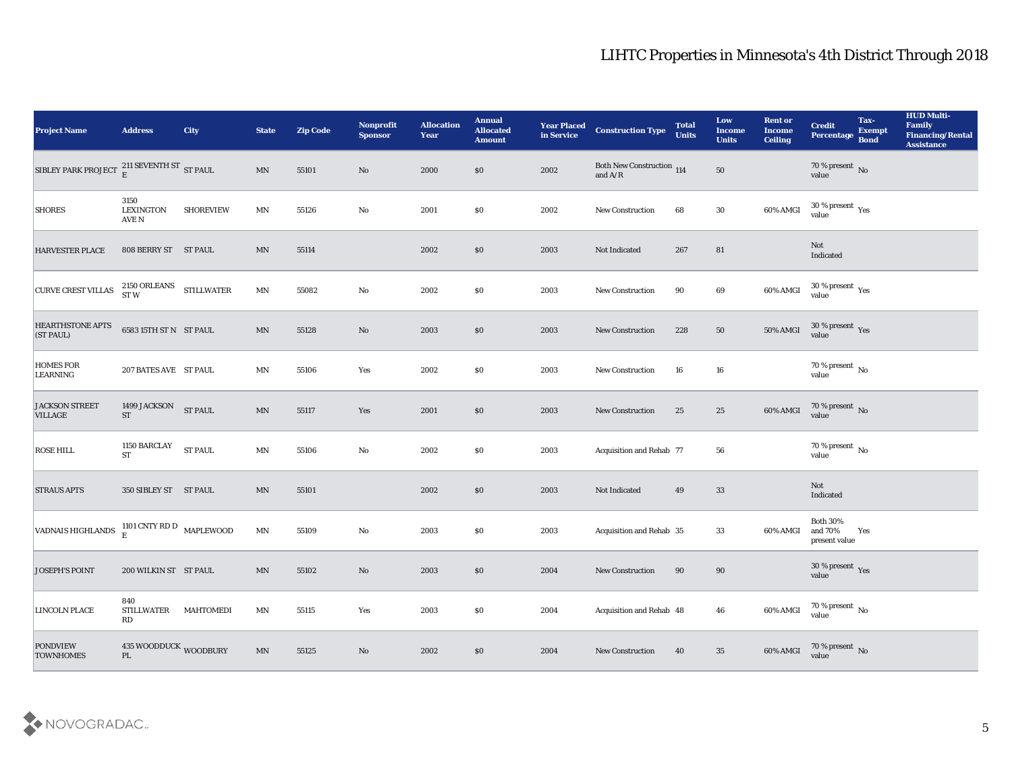| <b>Project Name</b>                                    | <b>Address</b>                         | City             | <b>State</b>               | <b>Zip Code</b> | Nonprofit<br><b>Sponsor</b> | <b>Allocation</b><br>Year | <b>Annual</b><br><b>Allocated</b><br><b>Amount</b> | <b>Year Placed<br/>in Service</b> | <b>Construction Type</b>                | <b>Total</b><br><b>Units</b> | Low<br><b>Income</b><br><b>Units</b> | <b>Rent or</b><br><b>Income</b><br><b>Ceiling</b> | <b>Credit</b><br>Percentage                 | Tax-<br><b>Exempt</b><br><b>Bond</b> | <b>HUD Multi-</b><br>Family<br><b>Financing/Rental</b><br><b>Assistance</b> |
|--------------------------------------------------------|----------------------------------------|------------------|----------------------------|-----------------|-----------------------------|---------------------------|----------------------------------------------------|-----------------------------------|-----------------------------------------|------------------------------|--------------------------------------|---------------------------------------------------|---------------------------------------------|--------------------------------------|-----------------------------------------------------------------------------|
| SIBLEY PARK PROJECT $\frac{211}{E}$ SEVENTH ST ST PAUL |                                        |                  | $\ensuremath{\text{MN}}$   | 55101           | No                          | 2000                      | \$0                                                | 2002                              | Both New Construction $$\,114$$ and A/R |                              | $50\,$                               |                                                   | $70\,\%$ present $\,$ No value              |                                      |                                                                             |
| <b>SHORES</b>                                          | 3150<br><b>LEXINGTON</b><br>AVE N      | <b>SHOREVIEW</b> | MN                         | 55126           | No                          | 2001                      | $\boldsymbol{\mathsf{S}}\boldsymbol{\mathsf{0}}$   | 2002                              | New Construction                        | 68                           | $30\,$                               | 60% AMGI                                          | $30\,\%$ present $\,$ Yes value             |                                      |                                                                             |
| <b>HARVESTER PLACE</b>                                 | 808 BERRY ST ST PAUL                   |                  | MN                         | 55114           |                             | 2002                      | $\$0$                                              | 2003                              | Not Indicated                           | 267                          | 81                                   |                                                   | Not<br>Indicated                            |                                      |                                                                             |
| <b>CURVE CREST VILLAS</b>                              | 2150 ORLEANS STILLWATER ST W           |                  | MN                         | 55082           | No                          | 2002                      | \$0                                                | 2003                              | New Construction                        | 90                           | 69                                   | 60% AMGI                                          | $30\,\%$ present $\,$ Yes value             |                                      |                                                                             |
| <b>HEARTHSTONE APTS</b><br>(ST PAUL)                   | 6583 15TH ST N ST PAUL                 |                  | MN                         | 55128           | No                          | 2003                      | \$0                                                | 2003                              | <b>New Construction</b>                 | 228                          | 50                                   | 50% AMGI                                          | $30\,\%$ present $\,$ Yes value             |                                      |                                                                             |
| <b>HOMES FOR</b><br>LEARNING                           | 207 BATES AVE ST PAUL                  |                  | MN                         | 55106           | Yes                         | 2002                      | \$0\$                                              | 2003                              | New Construction                        | 16                           | 16                                   |                                                   | $70\,\%$ present $\,$ No value              |                                      |                                                                             |
| <b>JACKSON STREET</b><br><b>VILLAGE</b>                | 1499 JACKSON ST PAUL<br><b>ST</b>      |                  | $\ensuremath{\text{MN}}$   | 55117           | Yes                         | 2001                      | $\$0$                                              | 2003                              | New Construction                        | 25                           | 25                                   | 60% AMGI                                          | $70$ % present $\,$ No $\,$ value           |                                      |                                                                             |
| <b>ROSE HILL</b>                                       | 1150 BARCLAY<br><b>ST</b>              | <b>ST PAUL</b>   | $\mathop{\rm MN}\nolimits$ | 55106           | No                          | 2002                      | \$0                                                | 2003                              | Acquisition and Rehab 77                |                              | 56                                   |                                                   | $70\,\%$ present $\,$ No value              |                                      |                                                                             |
| <b>STRAUS APTS</b>                                     | 350 SIBLEY ST ST PAUL                  |                  | $\ensuremath{\text{MN}}$   | 55101           |                             | 2002                      | \$0                                                | 2003                              | Not Indicated                           | 49                           | 33                                   |                                                   | Not<br>Indicated                            |                                      |                                                                             |
| VADNAIS HIGHLANDS                                      | 1101 CNTY RD D $$\tt MAPLEWOOD$$ E     |                  | MN                         | 55109           | No                          | 2003                      | \$0                                                | 2003                              | Acquisition and Rehab 35                |                              | 33                                   | 60% AMGI                                          | <b>Both 30%</b><br>and 70%<br>present value | Yes                                  |                                                                             |
| <b>JOSEPH'S POINT</b>                                  | 200 WILKIN ST ST PAUL                  |                  | MN                         | 55102           | No                          | 2003                      | $\$0$                                              | 2004                              | <b>New Construction</b>                 | 90                           | 90                                   |                                                   | $30\,\%$ present $\,$ Yes value             |                                      |                                                                             |
| <b>LINCOLN PLACE</b>                                   | 840<br>STILLWATER<br>RD                | <b>MAHTOMEDI</b> | $\mathop{\rm MN}\nolimits$ | 55115           | Yes                         | 2003                      | $\$0$                                              | 2004                              | Acquisition and Rehab 48                |                              | 46                                   | 60% AMGI                                          | $70\,\%$ present $\,$ No value              |                                      |                                                                             |
| <b>PONDVIEW</b><br><b>TOWNHOMES</b>                    | 435 WOODDUCK WOODBURY<br>$\mathbf{PL}$ |                  | $\mathbf{M} \mathbf{N}$    | 55125           | $\rm\thinspace No$          | 2002                      | $\$0$                                              | 2004                              | New Construction                        | 40                           | 35                                   | 60% AMGI                                          | $70$ % present $\,$ No $\,$ value           |                                      |                                                                             |

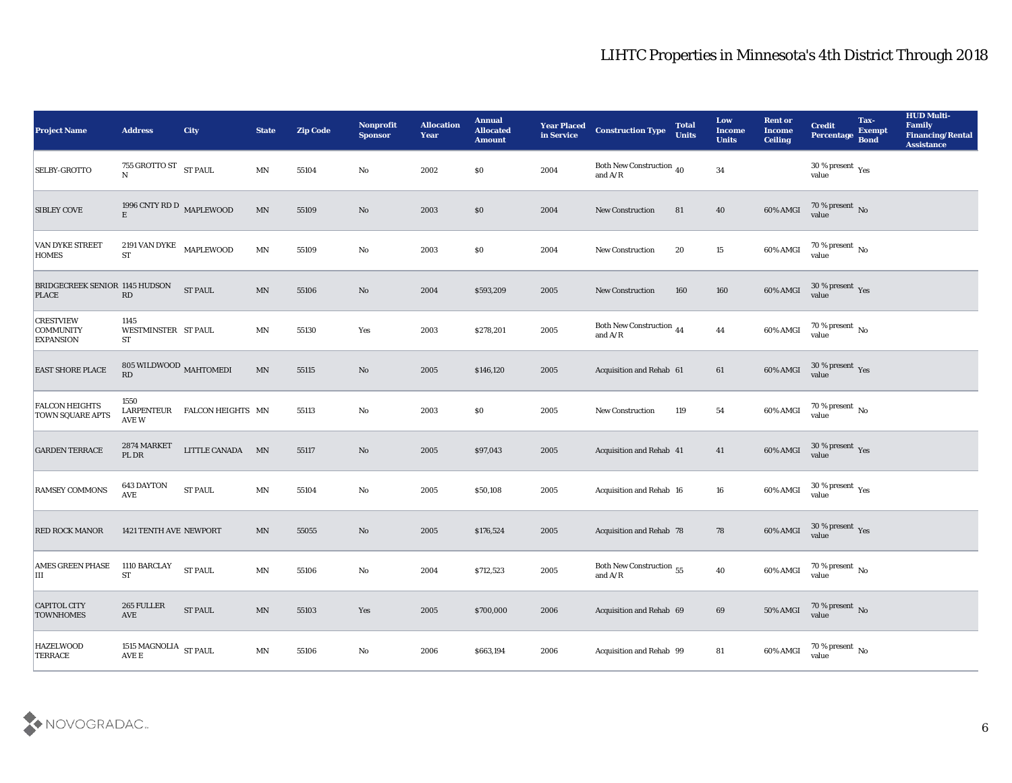| <b>Project Name</b>                                      | <b>Address</b>                                       | <b>City</b>                  | <b>State</b>             | <b>Zip Code</b> | Nonprofit<br><b>Sponsor</b>   | <b>Allocation</b><br><b>Year</b> | <b>Annual</b><br><b>Allocated</b><br><b>Amount</b> | <b>Year Placed</b><br>in Service | <b>Construction Type</b>                                                          | <b>Total</b><br><b>Units</b> | Low<br><b>Income</b><br><b>Units</b> | <b>Rent or</b><br><b>Income</b><br><b>Ceiling</b> | <b>Credit</b><br>Percentage        | Tax-<br><b>Exempt</b><br><b>Bond</b> | <b>HUD Multi-</b><br>Family<br><b>Financing/Rental</b><br><b>Assistance</b> |
|----------------------------------------------------------|------------------------------------------------------|------------------------------|--------------------------|-----------------|-------------------------------|----------------------------------|----------------------------------------------------|----------------------------------|-----------------------------------------------------------------------------------|------------------------------|--------------------------------------|---------------------------------------------------|------------------------------------|--------------------------------------|-----------------------------------------------------------------------------|
| <b>SELBY-GROTTO</b>                                      | 755 GROTTO ST<br>N $$\rm{ST}$ PAUL $$\rm{N}$$        |                              | MN                       | 55104           | No                            | 2002                             | $\$0$                                              | 2004                             | Both New Construction 40<br>and $\ensuremath{\mathrm{A}}/\ensuremath{\mathrm{R}}$ |                              | 34                                   |                                                   | $30\,\%$ present $\,$ Yes value    |                                      |                                                                             |
| <b>SIBLEY COVE</b>                                       | 1996 CNTY RD D $_{\rm MAPLEWOOD}$                    |                              | $\ensuremath{\text{MN}}$ | 55109           | No                            | 2003                             | \$0                                                | 2004                             | <b>New Construction</b>                                                           | 81                           | 40                                   | 60% AMGI                                          | $70\,\%$ present $\,$ No value     |                                      |                                                                             |
| VAN DYKE STREET<br><b>HOMES</b>                          | 2191 VAN DYKE MAPLEWOOD<br><b>ST</b>                 |                              | $\ensuremath{\text{MN}}$ | 55109           | $\mathbf{No}$                 | 2003                             | \$0\$                                              | 2004                             | <b>New Construction</b>                                                           | 20                           | 15                                   | 60% AMGI                                          | $70\,\%$ present $\,$ No value     |                                      |                                                                             |
| <b>BRIDGECREEK SENIOR 1145 HUDSON</b><br><b>PLACE</b>    | RD                                                   | <b>ST PAUL</b>               | $\ensuremath{\text{MN}}$ | 55106           | No                            | 2004                             | \$593,209                                          | 2005                             | <b>New Construction</b>                                                           | 160                          | 160                                  | 60% AMGI                                          | $30\,\%$ present $\,$ Yes value    |                                      |                                                                             |
| <b>CRESTVIEW</b><br><b>COMMUNITY</b><br><b>EXPANSION</b> | 1145<br>WESTMINSTER ST PAUL<br><b>ST</b>             |                              | $\textsf{MN}{}$          | 55130           | Yes                           | 2003                             | \$278,201                                          | 2005                             | Both New Construction 44<br>and $\ensuremath{\mathrm{A}}/\ensuremath{\mathrm{R}}$ |                              | 44                                   | 60% AMGI                                          | $70\,\%$ present $\,$ No value     |                                      |                                                                             |
| <b>EAST SHORE PLACE</b>                                  | 805 WILDWOOD $_{\rm MAHTOMEDI}$<br>RD                |                              | $\mathbf{M} \mathbf{N}$  | 55115           | No                            | 2005                             | \$146,120                                          | 2005                             | Acquisition and Rehab 61                                                          |                              | 61                                   | 60% AMGI                                          | $30\,\%$ present $\,$ Yes value    |                                      |                                                                             |
| <b>FALCON HEIGHTS</b><br><b>TOWN SQUARE APTS</b>         | 1550<br>AVE W                                        | LARPENTEUR FALCON HEIGHTS MN |                          | 55113           | No                            | 2003                             | \$0\$                                              | 2005                             | <b>New Construction</b>                                                           | 119                          | 54                                   | 60% AMGI                                          | $70\,\%$ present $\,$ No value     |                                      |                                                                             |
| <b>GARDEN TERRACE</b>                                    | 2874 MARKET<br>PL DR                                 | LITTLE CANADA                | MN                       | 55117           | No                            | 2005                             | \$97,043                                           | 2005                             | <b>Acquisition and Rehab 41</b>                                                   |                              | 41                                   | 60% AMGI                                          | $30\,\%$ present $\,$ Yes value    |                                      |                                                                             |
| <b>RAMSEY COMMONS</b>                                    | 643 DAYTON<br>AVE                                    | <b>ST PAUL</b>               | $\mathbf{M} \mathbf{N}$  | 55104           | No                            | 2005                             | \$50,108                                           | 2005                             | Acquisition and Rehab 16                                                          |                              | 16                                   | 60% AMGI                                          | $30\,\%$ present $\,$ Yes value    |                                      |                                                                             |
| <b>RED ROCK MANOR</b>                                    | <b>1421 TENTH AVE NEWPORT</b>                        |                              | $\ensuremath{\text{MN}}$ | 55055           | No                            | 2005                             | \$176,524                                          | 2005                             | Acquisition and Rehab 78                                                          |                              | 78                                   | 60% AMGI                                          | $30\,\%$ present $\,$ Yes value    |                                      |                                                                             |
| <b>AMES GREEN PHASE</b><br>IШ                            | 1110 BARCLAY<br><b>ST</b>                            | <b>ST PAUL</b>               | MN                       | 55106           | No                            | 2004                             | \$712,523                                          | 2005                             | Both New Construction 55<br>and $\ensuremath{\mathrm{A}}/\ensuremath{\mathrm{R}}$ |                              | 40                                   | 60% AMGI                                          | 70 % present $\,$ No $\,$<br>value |                                      |                                                                             |
| <b>CAPITOL CITY</b><br><b>TOWNHOMES</b>                  | $265\:\mathrm{FULLER}$<br>$\operatorname{AVE}$       | ${\bf ST}$ PAUL              | $\mathbf{M} \mathbf{N}$  | 55103           | $\operatorname{\textsc{Yes}}$ | 2005                             | \$700,000                                          | 2006                             | Acquisition and Rehab 69                                                          |                              | 69                                   | 50% AMGI                                          | $70\,\%$ present $\,$ No value     |                                      |                                                                             |
| <b>HAZELWOOD</b><br><b>TERRACE</b>                       | 1515 MAGNOLIA $\,$ ST PAUL<br>$\operatorname{AVE}$ E |                              | $\mathbf{M} \mathbf{N}$  | 55106           | $\mathbf {No}$                | 2006                             | \$663,194                                          | 2006                             | Acquisition and Rehab 99                                                          |                              | ${\bf 81}$                           | 60% AMGI                                          | 70 % present $\,$ No $\,$<br>value |                                      |                                                                             |

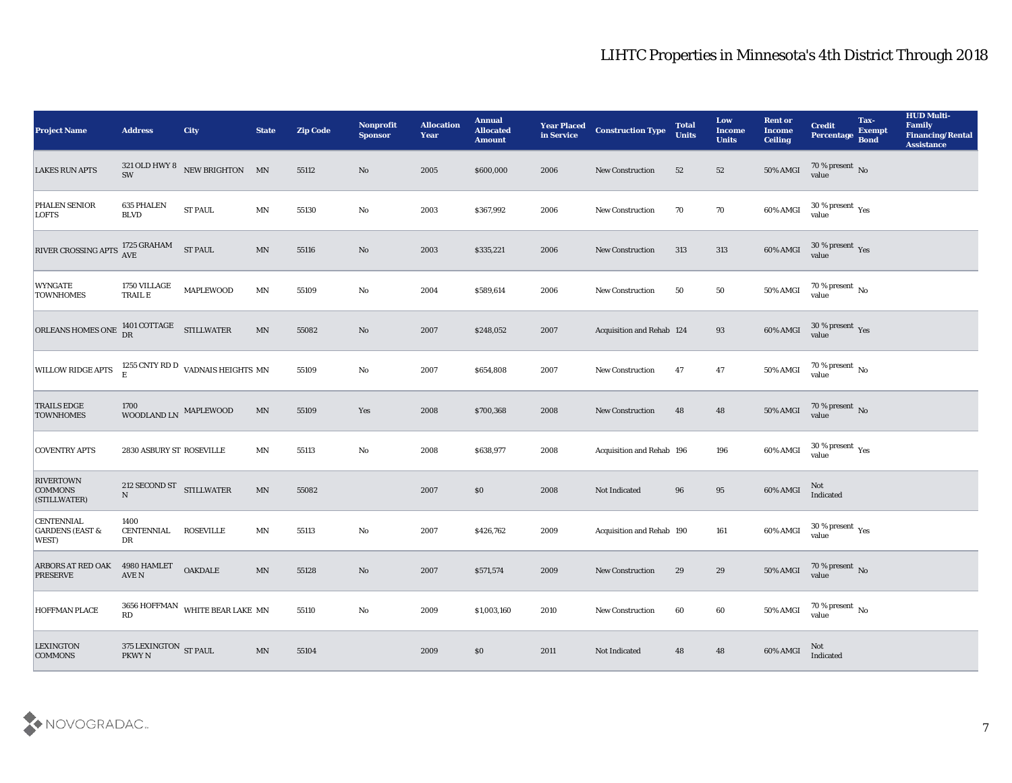| <b>Project Name</b>                                              | <b>Address</b>                           | <b>City</b>                                               | <b>State</b>             | <b>Zip Code</b> | Nonprofit<br><b>Sponsor</b> | <b>Allocation</b><br>Year | <b>Annual</b><br><b>Allocated</b><br><b>Amount</b> | <b>Year Placed</b><br>in Service | <b>Construction Type</b>  | <b>Total</b><br><b>Units</b> | Low<br><b>Income</b><br><b>Units</b> | <b>Rent or</b><br><b>Income</b><br><b>Ceiling</b> | <b>Credit</b><br><b>Percentage</b> | Tax-<br><b>Exempt</b><br><b>Bond</b> | <b>HUD Multi-</b><br>Family<br><b>Financing/Rental</b><br><b>Assistance</b> |
|------------------------------------------------------------------|------------------------------------------|-----------------------------------------------------------|--------------------------|-----------------|-----------------------------|---------------------------|----------------------------------------------------|----------------------------------|---------------------------|------------------------------|--------------------------------------|---------------------------------------------------|------------------------------------|--------------------------------------|-----------------------------------------------------------------------------|
| <b>LAKES RUN APTS</b>                                            |                                          | $321$ OLD HWY $8$ $\quad$ NEW BRIGHTON $\quad$ MN $\,$ SW |                          | 55112           | No                          | 2005                      | \$600,000                                          | 2006                             | New Construction          | 52                           | 52                                   | 50% AMGI                                          | $70\,\%$ present $\,$ No value     |                                      |                                                                             |
| <b>PHALEN SENIOR</b><br><b>LOFTS</b>                             | 635 PHALEN<br><b>BLVD</b>                | <b>ST PAUL</b>                                            | $\mathbf{M} \mathbf{N}$  | 55130           | No                          | 2003                      | \$367,992                                          | 2006                             | New Construction          | 70                           | 70                                   | 60% AMGI                                          | $30\,\%$ present $\,$ Yes value    |                                      |                                                                             |
| RIVER CROSSING APTS AVE                                          | 1725 GRAHAM                              | ${\bf ST}$ PAUL                                           | $\mathbf{M} \mathbf{N}$  | 55116           | No                          | 2003                      | \$335,221                                          | 2006                             | <b>New Construction</b>   | 313                          | 313                                  | 60% AMGI                                          | $30\,\%$ present $\,$ Yes value    |                                      |                                                                             |
| <b>WYNGATE</b><br><b>TOWNHOMES</b>                               | 1750 VILLAGE<br>$\operatorname{TRAIL}$ E | <b>MAPLEWOOD</b>                                          | $\mathbf{M} \mathbf{N}$  | 55109           | No                          | 2004                      | \$589,614                                          | 2006                             | New Construction          | 50                           | 50                                   | 50% AMGI                                          | $70\,\%$ present $\,$ No value     |                                      |                                                                             |
| ORLEANS HOMES ONE                                                | 1401 COTTAGE STILLWATER                  |                                                           | $\mbox{MN}$              | 55082           | No                          | 2007                      | \$248,052                                          | 2007                             | Acquisition and Rehab 124 |                              | 93                                   | 60% AMGI                                          | $30\,\%$ present $\,$ Yes value    |                                      |                                                                             |
| <b>WILLOW RIDGE APTS</b>                                         |                                          | 1255 CNTY RD D $\,$ VADNAIS HEIGHTS $\,$ MN $\,$ E        |                          | 55109           | $\mathbf {No}$              | 2007                      | \$654,808                                          | 2007                             | New Construction          | 47                           | 47                                   | $50\%$ AMGI                                       | $70\,\%$ present $\,$ No value     |                                      |                                                                             |
| <b>TRAILS EDGE</b><br><b>TOWNHOMES</b>                           | 1700<br>WOODLAND LN MAPLEWOOD            |                                                           | $\ensuremath{\text{MN}}$ | 55109           | Yes                         | 2008                      | \$700,368                                          | 2008                             | New Construction          | 48                           | 48                                   | 50% AMGI                                          | $70\%$ present $\_{\text{N}}$ No   |                                      |                                                                             |
| <b>COVENTRY APTS</b>                                             | 2830 ASBURY ST ROSEVILLE                 |                                                           | MN                       | 55113           | No                          | 2008                      | \$638,977                                          | 2008                             | Acquisition and Rehab 196 |                              | 196                                  | 60% AMGI                                          | $30\,\%$ present $\,$ Yes value    |                                      |                                                                             |
| <b>RIVERTOWN</b><br><b>COMMONS</b><br>(STILLWATER)               | 212 SECOND ST STILLWATER<br>N            |                                                           | $\mathbf{M} \mathbf{N}$  | 55082           |                             | 2007                      | \$0                                                | 2008                             | Not Indicated             | 96                           | 95                                   | 60% AMGI                                          | Not<br>Indicated                   |                                      |                                                                             |
| <b>CENTENNIAL</b><br><b>GARDENS (EAST &amp;</b><br><b>WEST</b> ) | 1400<br>CENTENNIAL<br>DR                 | <b>ROSEVILLE</b>                                          | $\mathbf{M} \mathbf{N}$  | 55113           | $\mathbf{No}$               | 2007                      | \$426,762                                          | 2009                             | Acquisition and Rehab 190 |                              | 161                                  | 60% AMGI                                          | $30\,\%$ present $\,$ Yes value    |                                      |                                                                             |
| <b>ARBORS AT RED OAK</b><br><b>PRESERVE</b>                      | 4980 HAMLET<br>AVE N                     | <b>OAKDALE</b>                                            | MN                       | 55128           | No                          | 2007                      | \$571,574                                          | 2009                             | <b>New Construction</b>   | 29                           | 29                                   | 50% AMGI                                          | 70 % present No<br>value           |                                      |                                                                             |
| <b>HOFFMAN PLACE</b>                                             | RD                                       | $3656$ HOFFMAN WHITE BEAR LAKE $\,$ MN $^{-1}$            |                          | 55110           | $\rm\thinspace No$          | 2009                      | \$1,003,160                                        | 2010                             | New Construction          | 60                           | $60\,$                               | 50% AMGI                                          | $70\,\%$ present $\,$ No value     |                                      |                                                                             |
| <b>LEXINGTON</b><br><b>COMMONS</b>                               | 375 LEXINGTON $\,$ ST PAUL PKWY N        |                                                           | $\mbox{MN}$              | 55104           |                             | 2009                      | \$0                                                | 2011                             | Not Indicated             | 48                           | 48                                   | 60% AMGI                                          | Not<br>Indicated                   |                                      |                                                                             |

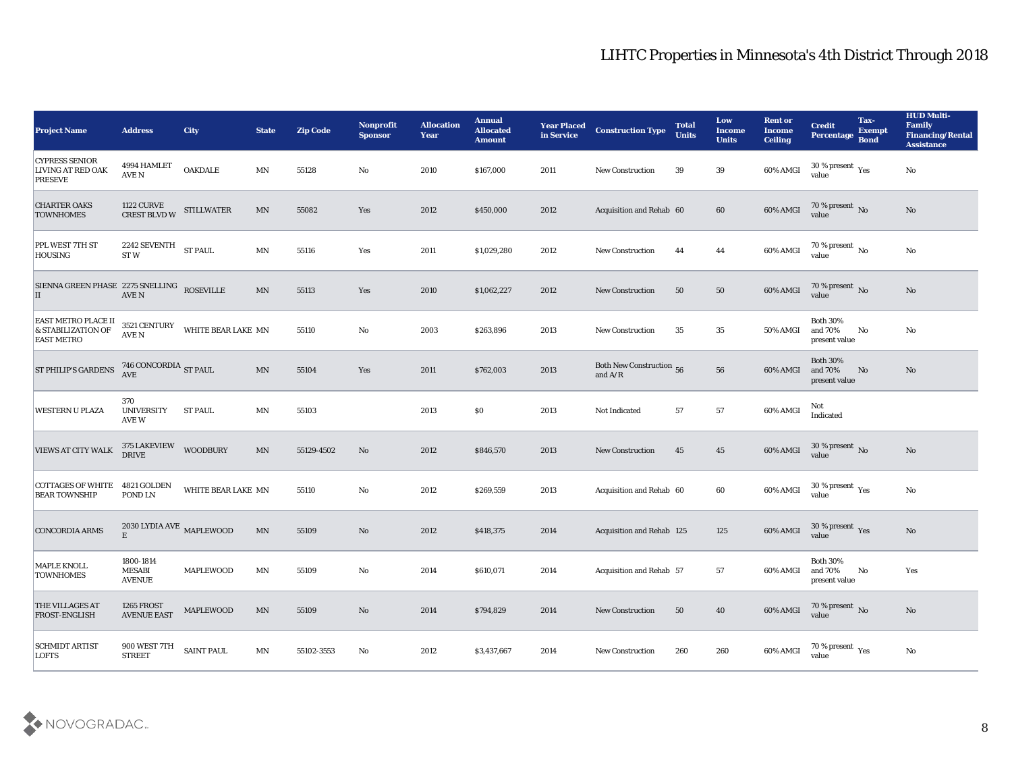| <b>Project Name</b>                                                   | <b>Address</b>                                | <b>City</b>        | <b>State</b>             | <b>Zip Code</b> | Nonprofit<br><b>Sponsor</b> | <b>Allocation</b><br><b>Year</b> | <b>Annual</b><br><b>Allocated</b><br><b>Amount</b> | <b>Year Placed</b><br>in Service | <b>Construction Type</b>                                                                 | <b>Total</b><br><b>Units</b> | Low<br><b>Income</b><br><b>Units</b> | <b>Rent or</b><br><b>Income</b><br><b>Ceiling</b> | <b>Credit</b><br>Percentage                 | Tax-<br><b>Exempt</b><br><b>Bond</b> | <b>HUD Multi-</b><br>Family<br><b>Financing/Rental</b><br><b>Assistance</b> |
|-----------------------------------------------------------------------|-----------------------------------------------|--------------------|--------------------------|-----------------|-----------------------------|----------------------------------|----------------------------------------------------|----------------------------------|------------------------------------------------------------------------------------------|------------------------------|--------------------------------------|---------------------------------------------------|---------------------------------------------|--------------------------------------|-----------------------------------------------------------------------------|
| <b>CYPRESS SENIOR</b><br><b>LIVING AT RED OAK</b><br><b>PRESEVE</b>   | 4994 HAMLET<br>$\operatorname{AVE}$ N         | <b>OAKDALE</b>     | $\ensuremath{\text{MN}}$ | 55128           | No                          | 2010                             | \$167,000                                          | 2011                             | <b>New Construction</b>                                                                  | 39                           | 39                                   | 60% AMGI                                          | 30 % present $\gamma_{\rm e s}$<br>value    |                                      | No                                                                          |
| <b>CHARTER OAKS</b><br><b>TOWNHOMES</b>                               | <b>1122 CURVE</b><br><b>CREST BLVD W</b>      | <b>STILLWATER</b>  | $\mbox{MN}$              | 55082           | Yes                         | 2012                             | \$450,000                                          | 2012                             | Acquisition and Rehab 60                                                                 |                              | 60                                   | 60% AMGI                                          | $70\,\%$ present $\,$ No value              |                                      | No                                                                          |
| PPL WEST 7TH ST<br><b>HOUSING</b>                                     | 2242 SEVENTH<br><b>STW</b>                    | <b>ST PAUL</b>     | $\ensuremath{\text{MN}}$ | 55116           | Yes                         | 2011                             | \$1,029,280                                        | 2012                             | <b>New Construction</b>                                                                  | 44                           | 44                                   | 60% AMGI                                          | 70 % present $\,$ No $\,$<br>value          |                                      | $\mathbf{N}\mathbf{o}$                                                      |
| SIENNA GREEN PHASE 2275 SNELLING<br>ROSEVILLE<br>II                   | AVE N                                         |                    | $\mathbf{M} \mathbf{N}$  | 55113           | Yes                         | 2010                             | \$1,062,227                                        | 2012                             | <b>New Construction</b>                                                                  | 50                           | 50                                   | 60% AMGI                                          | $70\,\%$ present $\,$ No value              |                                      | No                                                                          |
| <b>EAST METRO PLACE II</b><br>& STABILIZATION OF<br><b>EAST METRO</b> | 3521 CENTURY<br>AVE N                         | WHITE BEAR LAKE MN |                          | 55110           | $\mathbf {No}$              | 2003                             | \$263,896                                          | 2013                             | <b>New Construction</b>                                                                  | 35                           | 35                                   | 50% AMGI                                          | <b>Both 30%</b><br>and 70%<br>present value | No                                   | No                                                                          |
| <b>ST PHILIP'S GARDENS</b>                                            | 746 CONCORDIA ST PAUL<br>$\operatorname{AVE}$ |                    | $\mbox{MN}$              | 55104           | Yes                         | 2011                             | \$762,003                                          | 2013                             | <b>Both New Construction</b> 56<br>and $\ensuremath{\mathrm{A}}/\ensuremath{\mathrm{R}}$ |                              | 56                                   | 60% AMGI                                          | <b>Both 30%</b><br>and 70%<br>present value | No                                   | No                                                                          |
| <b>WESTERN U PLAZA</b>                                                | 370<br><b>UNIVERSITY</b><br>AVE W             | <b>ST PAUL</b>     | MN                       | 55103           |                             | 2013                             | \$0\$                                              | 2013                             | Not Indicated                                                                            | 57                           | 57                                   | 60% AMGI                                          | Not<br>Indicated                            |                                      |                                                                             |
| <b>VIEWS AT CITY WALK</b>                                             | 375 LAKEVIEW<br><b>DRIVE</b>                  | <b>WOODBURY</b>    | $\mbox{MN}$              | 55129-4502      | No                          | 2012                             | \$846,570                                          | 2013                             | <b>New Construction</b>                                                                  | 45                           | 45                                   | 60% AMGI                                          | 30 % present $\,$ No $\,$<br>value          |                                      | No                                                                          |
| <b>COTTAGES OF WHITE</b><br><b>BEAR TOWNSHIP</b>                      | 4821 GOLDEN<br>POND LN                        | WHITE BEAR LAKE MN |                          | 55110           | No                          | 2012                             | \$269,559                                          | 2013                             | Acquisition and Rehab 60                                                                 |                              | 60                                   | 60% AMGI                                          | 30 % present $\rm\,Yes$<br>value            |                                      | $\mathbf{N}\mathbf{o}$                                                      |
| <b>CONCORDIA ARMS</b>                                                 | $2030$ LYDIA AVE $\,$ MAPLEWOOD<br>E          |                    | $\ensuremath{\text{MN}}$ | 55109           | $\mathbf{N}\mathbf{o}$      | 2012                             | \$418,375                                          | 2014                             | Acquisition and Rehab 125                                                                |                              | 125                                  | 60% AMGI                                          | $30\,\%$ present $\,$ Yes value             |                                      | No                                                                          |
| <b>MAPLE KNOLL</b><br><b>TOWNHOMES</b>                                | 1800-1814<br><b>MESABI</b><br><b>AVENUE</b>   | MAPLEWOOD          | MN                       | 55109           | No                          | 2014                             | \$610,071                                          | 2014                             | <b>Acquisition and Rehab 57</b>                                                          |                              | 57                                   | 60% AMGI                                          | <b>Both 30%</b><br>and 70%<br>present value | No                                   | Yes                                                                         |
| THE VILLAGES AT<br><b>FROST-ENGLISH</b>                               | $1265\ \mathrm{FROST}$<br><b>AVENUE EAST</b>  | MAPLEWOOD          | $\mathbf{M} \mathbf{N}$  | 55109           | $\rm\thinspace No$          | 2014                             | \$794,829                                          | 2014                             | New Construction                                                                         | 50                           | 40                                   | 60% AMGI                                          | $70\,\%$ present $\,$ No value              |                                      | $\rm\thinspace No$                                                          |
| <b>SCHMIDT ARTIST</b><br><b>LOFTS</b>                                 | 900 WEST 7TH<br><b>STREET</b>                 | <b>SAINT PAUL</b>  | $\mathbf{M} \mathbf{N}$  | 55102-3553      | $\mathbf{N}\mathbf{o}$      | 2012                             | \$3,437,667                                        | 2014                             | New Construction                                                                         | 260                          | 260                                  | 60% AMGI                                          | $70\,\%$ present $\,$ Yes value             |                                      | $\mathbf{N}\mathbf{o}$                                                      |

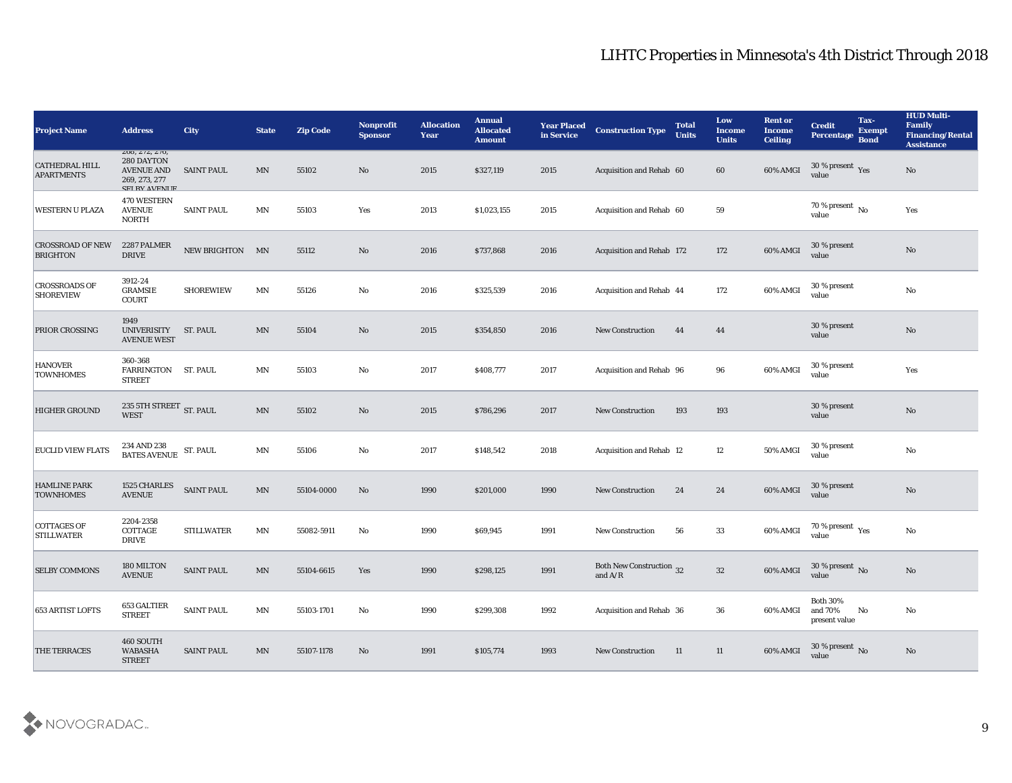| <b>Project Name</b>                        | <b>Address</b>                                                                             | City              | <b>State</b>               | <b>Zip Code</b> | Nonprofit<br><b>Sponsor</b> | <b>Allocation</b><br><b>Year</b> | <b>Annual</b><br><b>Allocated</b><br><b>Amount</b> | <b>Year Placed</b><br>in Service | <b>Construction Type</b>              | <b>Total</b><br><b>Units</b> | Low<br><b>Income</b><br><b>Units</b> | <b>Rent or</b><br><b>Income</b><br><b>Ceiling</b> | <b>Credit</b><br>Percentage Bond               | Tax-<br><b>Exempt</b> | <b>HUD Multi-</b><br>Family<br><b>Financing/Rental</b><br><b>Assistance</b> |
|--------------------------------------------|--------------------------------------------------------------------------------------------|-------------------|----------------------------|-----------------|-----------------------------|----------------------------------|----------------------------------------------------|----------------------------------|---------------------------------------|------------------------------|--------------------------------------|---------------------------------------------------|------------------------------------------------|-----------------------|-----------------------------------------------------------------------------|
| <b>CATHEDRAL HILL</b><br><b>APARTMENTS</b> | 200, 212, 210,<br>280 DAYTON<br><b>AVENUE AND</b><br>269, 273, 277<br><b>CEI DV AVENHE</b> | <b>SAINT PAUL</b> | MN                         | 55102           | No                          | 2015                             | \$327,119                                          | 2015                             | Acquisition and Rehab 60              |                              | 60                                   | 60% AMGI                                          | 30 % present Yes<br>value                      |                       | No                                                                          |
| <b>WESTERN U PLAZA</b>                     | 470 WESTERN<br><b>AVENUE</b><br><b>NORTH</b>                                               | <b>SAINT PAUL</b> | MΝ                         | 55103           | Yes                         | 2013                             | \$1,023,155                                        | 2015                             | Acquisition and Rehab 60              |                              | 59                                   |                                                   | 70 % present No<br>value                       |                       | Yes                                                                         |
| <b>CROSSROAD OF NEW</b><br><b>BRIGHTON</b> | 2287 PALMER<br><b>DRIVE</b>                                                                | NEW BRIGHTON MN   |                            | 55112           | No                          | 2016                             | \$737,868                                          | 2016                             | <b>Acquisition and Rehab 172</b>      |                              | 172                                  | 60% AMGI                                          | 30 % present<br>value                          |                       | No                                                                          |
| <b>CROSSROADS OF</b><br><b>SHOREVIEW</b>   | 3912-24<br><b>GRAMSIE</b><br><b>COURT</b>                                                  | <b>SHOREWIEW</b>  | MN                         | 55126           | No                          | 2016                             | \$325,539                                          | 2016                             | <b>Acquisition and Rehab 44</b>       |                              | 172                                  | 60% AMGI                                          | 30 % present<br>value                          |                       | $\mathbf{N}\mathbf{o}$                                                      |
| PRIOR CROSSING                             | 1949<br><b>UNIVERISITY</b><br><b>AVENUE WEST</b>                                           | ST. PAUL          | MN                         | 55104           | No                          | 2015                             | \$354,850                                          | 2016                             | <b>New Construction</b>               | 44                           | 44                                   |                                                   | 30 % present<br>value                          |                       | No                                                                          |
| <b>HANOVER</b><br><b>TOWNHOMES</b>         | 360-368<br>FARRINGTON ST. PAUL<br><b>STREET</b>                                            |                   | MN                         | 55103           | No                          | 2017                             | \$408,777                                          | 2017                             | <b>Acquisition and Rehab 96</b>       |                              | 96                                   | 60% AMGI                                          | 30 % present<br>value                          |                       | Yes                                                                         |
| <b>HIGHER GROUND</b>                       | $235$ 5TH STREET $$\rm{ST}$.$ PAUL WEST                                                    |                   | MN                         | 55102           | No                          | 2015                             | \$786,296                                          | 2017                             | <b>New Construction</b>               | 193                          | 193                                  |                                                   | 30 % present<br>value                          |                       | $\mathbf{N}\mathbf{o}$                                                      |
| <b>EUCLID VIEW FLATS</b>                   | 234 AND 238<br>BATES AVENUE ST. PAUL                                                       |                   | MN                         | 55106           | No                          | 2017                             | \$148,542                                          | 2018                             | <b>Acquisition and Rehab 12</b>       |                              | 12                                   | 50% AMGI                                          | 30 % present<br>value                          |                       | No                                                                          |
| <b>HAMLINE PARK</b><br><b>TOWNHOMES</b>    | 1525 CHARLES<br><b>AVENUE</b>                                                              | <b>SAINT PAUL</b> | MN                         | 55104-0000      | No                          | 1990                             | \$201,000                                          | 1990                             | <b>New Construction</b>               | 24                           | 24                                   | 60% AMGI                                          | 30 % present<br>value                          |                       | No                                                                          |
| <b>COTTAGES OF</b><br><b>STILLWATER</b>    | 2204-2358<br><b>COTTAGE</b><br>DRIVE                                                       | <b>STILLWATER</b> | MN                         | 55082-5911      | No                          | 1990                             | \$69,945                                           | 1991                             | <b>New Construction</b>               | 56                           | 33                                   | 60% AMGI                                          | 70 % present $_{\rm Yes}$<br>value             |                       | $\mathbf{N}\mathbf{o}$                                                      |
| <b>SELBY COMMONS</b>                       | 180 MILTON<br><b>AVENUE</b>                                                                | <b>SAINT PAUL</b> | MN                         | 55104-6615      | Yes                         | 1990                             | \$298,125                                          | 1991                             | Both New Construction 32<br>and $A/R$ |                              | 32                                   | 60% AMGI                                          | 30 % present No<br>value                       |                       | No                                                                          |
| <b>653 ARTIST LOFTS</b>                    | 653 GALTIER<br><b>STREET</b>                                                               | <b>SAINT PAUL</b> | $\mathop{\rm MN}\nolimits$ | 55103-1701      | $\rm\, No$                  | 1990                             | \$299,308                                          | 1992                             | Acquisition and Rehab 36              |                              | 36                                   | 60% AMGI                                          | <b>Both 30%</b><br>and $70\%$<br>present value | No                    | $\mathbf{N}\mathbf{o}$                                                      |
| <b>THE TERRACES</b>                        | 460 SOUTH<br><b>WABASHA</b><br><b>STREET</b>                                               | <b>SAINT PAUL</b> | MN                         | 55107-1178      | No                          | 1991                             | \$105,774                                          | 1993                             | <b>New Construction</b>               | 11                           | 11                                   | 60% AMGI                                          | $30\,\%$ present $\,$ No value                 |                       | No                                                                          |

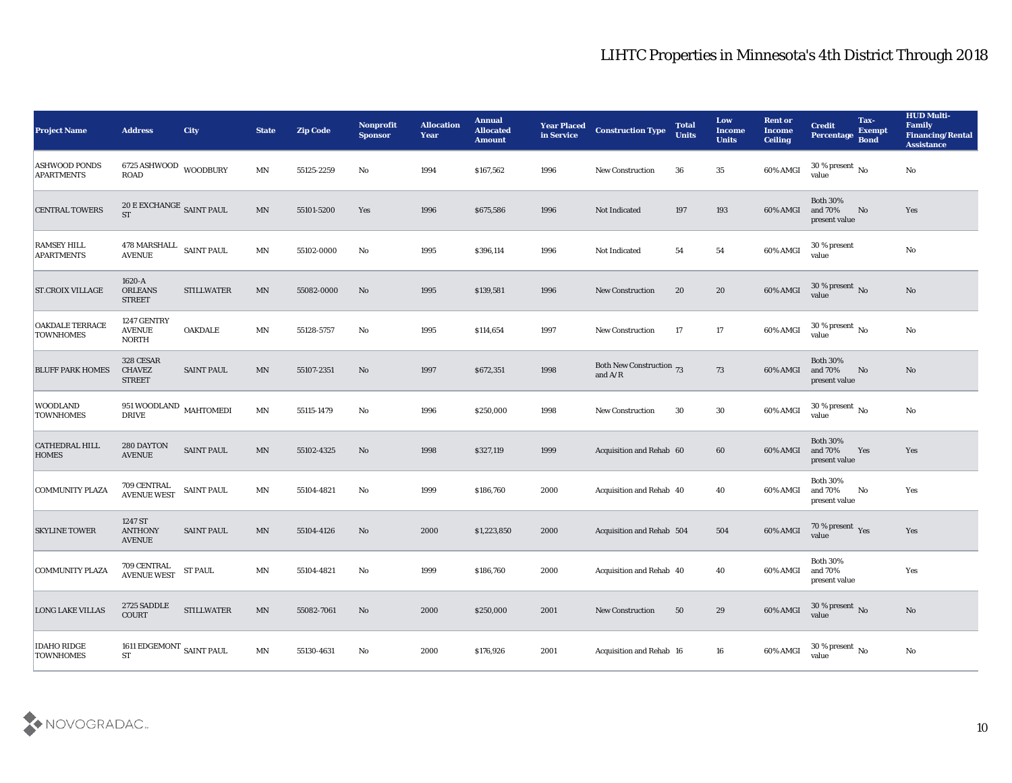| <b>Project Name</b>                        | <b>Address</b>                                  | <b>City</b>       | <b>State</b>            | <b>Zip Code</b> | Nonprofit<br><b>Sponsor</b> | <b>Allocation</b><br><b>Year</b> | <b>Annual</b><br><b>Allocated</b><br><b>Amount</b> | <b>Year Placed</b><br>in Service | <b>Construction Type</b>              | <b>Total</b><br><b>Units</b> | Low<br><b>Income</b><br><b>Units</b> | <b>Rent or</b><br><b>Income</b><br><b>Ceiling</b> | <b>Credit</b><br>Percentage Bond            | Tax-<br><b>Exempt</b> | <b>HUD Multi-</b><br>Family<br><b>Financing/Rental</b><br><b>Assistance</b> |
|--------------------------------------------|-------------------------------------------------|-------------------|-------------------------|-----------------|-----------------------------|----------------------------------|----------------------------------------------------|----------------------------------|---------------------------------------|------------------------------|--------------------------------------|---------------------------------------------------|---------------------------------------------|-----------------------|-----------------------------------------------------------------------------|
| <b>ASHWOOD PONDS</b><br><b>APARTMENTS</b>  | 6725 ASHWOOD WOODBURY<br><b>ROAD</b>            |                   | MN                      | 55125-2259      | No                          | 1994                             | \$167,562                                          | 1996                             | <b>New Construction</b>               | 36                           | 35                                   | 60% AMGI                                          | 30 % present $\,$ No $\,$<br>value          |                       | No                                                                          |
| <b>CENTRAL TOWERS</b>                      | 20 E EXCHANGE SAINT PAUL<br><b>ST</b>           |                   | MN                      | 55101-5200      | Yes                         | 1996                             | \$675,586                                          | 1996                             | Not Indicated                         | 197                          | 193                                  | 60% AMGI                                          | <b>Both 30%</b><br>and 70%<br>present value | No                    | Yes                                                                         |
| <b>RAMSEY HILL</b><br><b>APARTMENTS</b>    | 478 MARSHALL SAINT PAUL<br><b>AVENUE</b>        |                   | MN                      | 55102-0000      | No                          | 1995                             | \$396,114                                          | 1996                             | Not Indicated                         | 54                           | 54                                   | 60% AMGI                                          | 30 % present<br>value                       |                       | $\mathbf{N}\mathbf{o}$                                                      |
| <b>ST.CROIX VILLAGE</b>                    | 1620-A<br><b>ORLEANS</b><br><b>STREET</b>       | <b>STILLWATER</b> | MN                      | 55082-0000      | No                          | 1995                             | \$139,581                                          | 1996                             | <b>New Construction</b>               | 20                           | 20                                   | 60% AMGI                                          | $30\,\%$ present $\,$ No value              |                       | No                                                                          |
| <b>OAKDALE TERRACE</b><br><b>TOWNHOMES</b> | 1247 GENTRY<br><b>AVENUE</b><br><b>NORTH</b>    | <b>OAKDALE</b>    | MN                      | 55128-5757      | No                          | 1995                             | \$114,654                                          | 1997                             | <b>New Construction</b>               | 17                           | 17                                   | 60% AMGI                                          | 30 % present $\,$ No $\,$<br>value          |                       | $\mathbf{N}\mathbf{o}$                                                      |
| <b>BLUFF PARK HOMES</b>                    | 328 CESAR<br><b>CHAVEZ</b><br><b>STREET</b>     | <b>SAINT PAUL</b> | MN                      | 55107-2351      | No                          | 1997                             | \$672,351                                          | 1998                             | Both New Construction 73<br>and $A/R$ |                              | 73                                   | 60% AMGI                                          | <b>Both 30%</b><br>and 70%<br>present value | No                    | No.                                                                         |
| <b>WOODLAND</b><br><b>TOWNHOMES</b>        | 951 WOODLAND $\,$ MAHTOMEDI<br><b>DRIVE</b>     |                   | MN                      | 55115-1479      | No                          | 1996                             | \$250,000                                          | 1998                             | <b>New Construction</b>               | 30                           | 30                                   | 60% AMGI                                          | $30\,\%$ present $\,$ No value              |                       | No                                                                          |
| <b>CATHEDRAL HILL</b><br><b>HOMES</b>      | 280 DAYTON<br><b>AVENUE</b>                     | <b>SAINT PAUL</b> | MN                      | 55102-4325      | No                          | 1998                             | \$327,119                                          | 1999                             | Acquisition and Rehab 60              |                              | 60                                   | 60% AMGI                                          | <b>Both 30%</b><br>and 70%<br>present value | Yes                   | Yes                                                                         |
| <b>COMMUNITY PLAZA</b>                     | 709 CENTRAL<br><b>AVENUE WEST</b>               | <b>SAINT PAUL</b> | MN                      | 55104-4821      | No                          | 1999                             | \$186,760                                          | 2000                             | Acquisition and Rehab 40              |                              | 40                                   | 60% AMGI                                          | <b>Both 30%</b><br>and 70%<br>present value | No                    | Yes                                                                         |
| <b>SKYLINE TOWER</b>                       | 1247 ST<br><b>ANTHONY</b><br><b>AVENUE</b>      | <b>SAINT PAUL</b> | MN                      | 55104-4126      | No                          | 2000                             | \$1,223,850                                        | 2000                             | Acquisition and Rehab 504             |                              | 504                                  | 60% AMGI                                          | $70\,\%$ present $\,$ Yes value             |                       | Yes                                                                         |
| <b>COMMUNITY PLAZA</b>                     | <b>709 CENTRAL</b><br><b>AVENUE WEST</b>        | <b>ST PAUL</b>    | MN                      | 55104-4821      | No                          | 1999                             | \$186,760                                          | 2000                             | Acquisition and Rehab 40              |                              | 40                                   | 60% AMGI                                          | <b>Both 30%</b><br>and 70%<br>present value |                       | Yes                                                                         |
| <b>LONG LAKE VILLAS</b>                    | 2725 SADDLE<br>COURT                            | <b>STILLWATER</b> | MN                      | 55082-7061      | $\rm\thinspace No$          | 2000                             | \$250,000                                          | 2001                             | New Construction                      | 50                           | 29                                   | 60% AMGI                                          | $30\,\%$ present $\,$ No value              |                       | $\rm\thinspace No$                                                          |
| <b>IDAHO RIDGE</b><br><b>TOWNHOMES</b>     | 1611 EDGEMONT $_{\rm SAINT\ PAUL}$<br><b>ST</b> |                   | $\mathbf{M} \mathbf{N}$ | 55130-4631      | $\rm\thinspace No$          | 2000                             | \$176,926                                          | 2001                             | Acquisition and Rehab 16              |                              | ${\bf 16}$                           | 60% AMGI                                          | 30 % present $\,$ No $\,$<br>value          |                       | $\mathbf {No}$                                                              |

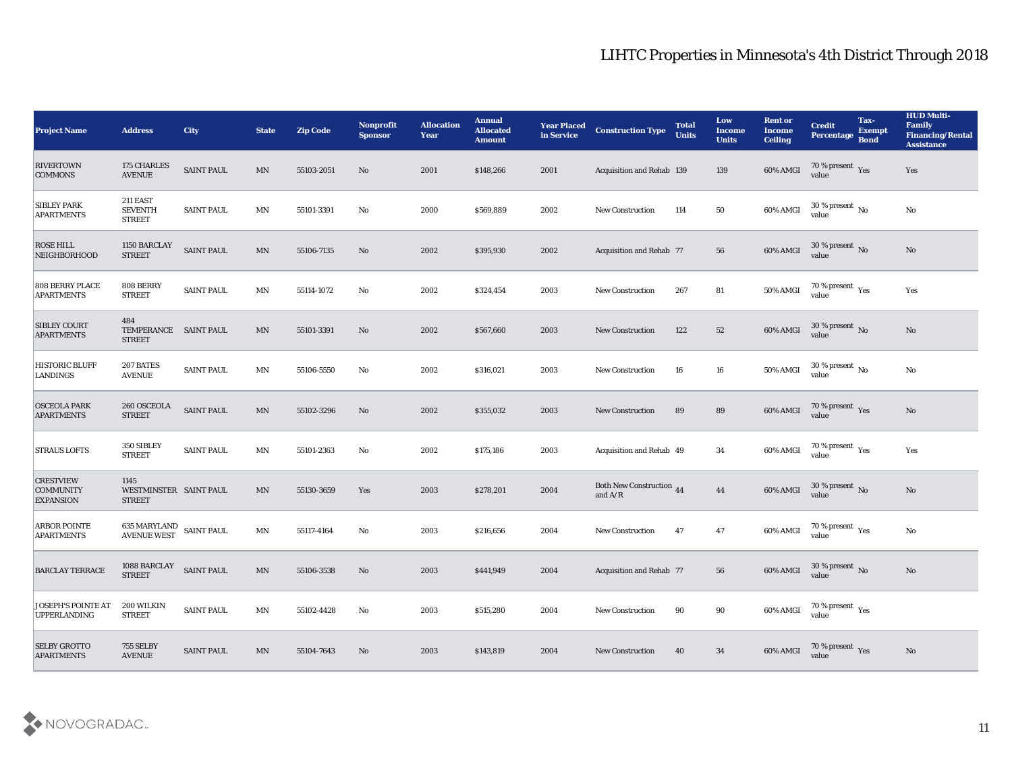| <b>Project Name</b>                                      | <b>Address</b>                                     | City              | <b>State</b>               | <b>Zip Code</b> | Nonprofit<br><b>Sponsor</b> | <b>Allocation</b><br><b>Year</b> | <b>Annual</b><br><b>Allocated</b><br><b>Amount</b> | <b>Year Placed</b><br>in Service | <b>Construction Type</b>                                                          | <b>Total</b><br><b>Units</b> | Low<br><b>Income</b><br><b>Units</b> | <b>Rent or</b><br><b>Income</b><br>Ceiling | <b>Credit</b><br>Percentage Bond        | Tax-<br><b>Exempt</b> | <b>HUD Multi-</b><br>Family<br><b>Financing/Rental</b><br><b>Assistance</b> |
|----------------------------------------------------------|----------------------------------------------------|-------------------|----------------------------|-----------------|-----------------------------|----------------------------------|----------------------------------------------------|----------------------------------|-----------------------------------------------------------------------------------|------------------------------|--------------------------------------|--------------------------------------------|-----------------------------------------|-----------------------|-----------------------------------------------------------------------------|
| <b>RIVERTOWN</b><br><b>COMMONS</b>                       | 175 CHARLES<br><b>AVENUE</b>                       | <b>SAINT PAUL</b> | MN                         | 55103-2051      | No                          | 2001                             | \$148,266                                          | 2001                             | <b>Acquisition and Rehab 139</b>                                                  |                              | 139                                  | 60% AMGI                                   | $70\,\%$ present $\,\mathrm{Yes}$ value |                       | Yes                                                                         |
| <b>SIBLEY PARK</b><br><b>APARTMENTS</b>                  | <b>211 EAST</b><br><b>SEVENTH</b><br><b>STREET</b> | <b>SAINT PAUL</b> | MN                         | 55101-3391      | No                          | 2000                             | \$569,889                                          | 2002                             | <b>New Construction</b>                                                           | 114                          | 50                                   | 60% AMGI                                   | $30\,\%$ present $\,$ No value          |                       | $\mathbf{N}\mathbf{o}$                                                      |
| <b>ROSE HILL</b><br><b>NEIGHBORHOOD</b>                  | 1150 BARCLAY<br><b>STREET</b>                      | <b>SAINT PAUL</b> | MN                         | 55106-7135      | No                          | 2002                             | \$395,930                                          | 2002                             | <b>Acquisition and Rehab 77</b>                                                   |                              | 56                                   | 60% AMGI                                   | $30\,\%$ present $\,$ No value          |                       | No                                                                          |
| <b>808 BERRY PLACE</b><br><b>APARTMENTS</b>              | 808 BERRY<br><b>STREET</b>                         | <b>SAINT PAUL</b> | MN                         | 55114-1072      | No                          | 2002                             | \$324,454                                          | 2003                             | <b>New Construction</b>                                                           | 267                          | 81                                   | 50% AMGI                                   | $70\,\%$ present $\,\mathrm{Yes}$ value |                       | Yes                                                                         |
| <b>SIBLEY COURT</b><br><b>APARTMENTS</b>                 | 484<br>TEMPERANCE SAINT PAUL<br><b>STREET</b>      |                   | MN                         | 55101-3391      | No                          | 2002                             | \$567,660                                          | 2003                             | <b>New Construction</b>                                                           | 122                          | 52                                   | 60% AMGI                                   | $30\,\%$ present $\,$ No value          |                       | $\mathbf{N}\mathbf{o}$                                                      |
| <b>HISTORIC BLUFF</b><br><b>LANDINGS</b>                 | 207 BATES<br><b>AVENUE</b>                         | <b>SAINT PAUL</b> | MN                         | 55106-5550      | No                          | 2002                             | \$316,021                                          | 2003                             | <b>New Construction</b>                                                           | 16                           | 16                                   | 50% AMGI                                   | $30\,\%$ present $\,$ No $\,$<br>value  |                       | No                                                                          |
| <b>OSCEOLA PARK</b><br><b>APARTMENTS</b>                 | 260 OSCEOLA<br><b>STREET</b>                       | <b>SAINT PAUL</b> | MN                         | 55102-3296      | No                          | 2002                             | \$355,032                                          | 2003                             | <b>New Construction</b>                                                           | 89                           | 89                                   | 60% AMGI                                   | $70\%$ present $\gamma_{\rm es}$        |                       | $\mathbf{N}\mathbf{o}$                                                      |
| <b>STRAUS LOFTS</b>                                      | 350 SIBLEY<br><b>STREET</b>                        | <b>SAINT PAUL</b> | MN                         | 55101-2363      | No                          | 2002                             | \$175,186                                          | 2003                             | Acquisition and Rehab 49                                                          |                              | 34                                   | 60% AMGI                                   | 70 % present $_{\rm Yes}$<br>value      |                       | Yes                                                                         |
| <b>CRESTVIEW</b><br><b>COMMUNITY</b><br><b>EXPANSION</b> | 1145<br>WESTMINSTER SAINT PAUL<br><b>STREET</b>    |                   | MN                         | 55130-3659      | Yes                         | 2003                             | \$278,201                                          | 2004                             | Both New Construction 44<br>and $\ensuremath{\mathrm{A}}/\ensuremath{\mathrm{R}}$ |                              | 44                                   | 60% AMGI                                   | $30\,\%$ present $\,$ No value          |                       | No                                                                          |
| <b>ARBOR POINTE</b><br><b>APARTMENTS</b>                 | $635$ MARYLAND $\;$ SAINT PAUL AVENUE WEST         |                   | MN                         | 55117-4164      | No                          | 2003                             | \$216,656                                          | 2004                             | <b>New Construction</b>                                                           | 47                           | 47                                   | 60% AMGI                                   | $70\,\%$ present $\,$ Yes value         |                       | $\rm\thinspace No$                                                          |
| <b>BARCLAY TERRACE</b>                                   | 1088 BARCLAY<br><b>STREET</b>                      | <b>SAINT PAUL</b> | MN                         | 55106-3538      | No                          | 2003                             | \$441,949                                          | 2004                             | <b>Acquisition and Rehab 77</b>                                                   |                              | 56                                   | 60% AMGI                                   | 30 % present No<br>value                |                       | No                                                                          |
| <b>JOSEPH'S POINTE AT</b><br><b>UPPERLANDING</b>         | 200 WILKIN<br><b>STREET</b>                        | <b>SAINT PAUL</b> | $\mathop{\rm MN}\nolimits$ | 55102-4428      | $\mathbf {No}$              | 2003                             | \$515,280                                          | 2004                             | New Construction                                                                  | 90                           | $90\,$                               | 60% AMGI                                   | $70\,\%$ present $\,$ Yes value         |                       |                                                                             |
| <b>SELBY GROTTO</b><br><b>APARTMENTS</b>                 | 755 SELBY<br><b>AVENUE</b>                         | <b>SAINT PAUL</b> | MN                         | 55104-7643      | No                          | 2003                             | \$143,819                                          | 2004                             | <b>New Construction</b>                                                           | 40                           | 34                                   | 60% AMGI                                   | $70\,\%$ present $\,$ Yes value         |                       | No                                                                          |

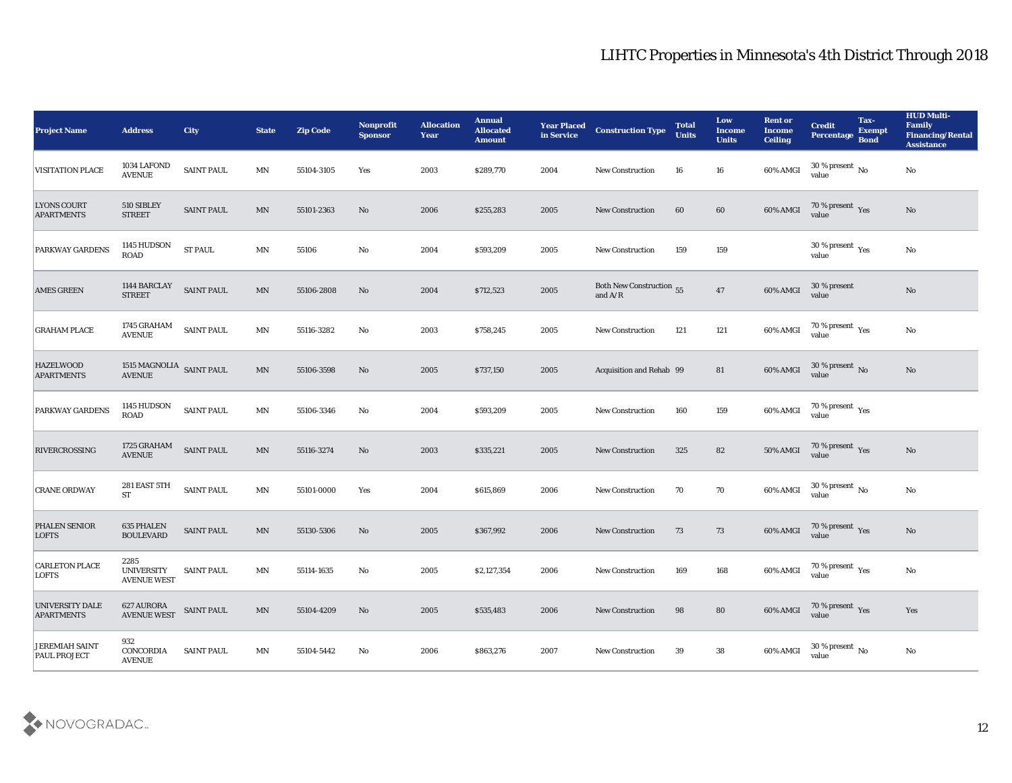| <b>Project Name</b>                          | <b>Address</b>                                  | City              | <b>State</b>             | <b>Zip Code</b> | Nonprofit<br><b>Sponsor</b> | <b>Allocation</b><br><b>Year</b> | <b>Annual</b><br><b>Allocated</b><br><b>Amount</b> | <b>Year Placed</b><br>in Service | <b>Construction Type</b>                                                                 | <b>Total</b><br><b>Units</b> | Low<br><b>Income</b><br><b>Units</b> | <b>Rent or</b><br><b>Income</b><br><b>Ceiling</b> | <b>Credit</b><br>Percentage Bond        | Tax-<br><b>Exempt</b> | <b>HUD Multi-</b><br>Family<br><b>Financing/Rental</b><br><b>Assistance</b> |
|----------------------------------------------|-------------------------------------------------|-------------------|--------------------------|-----------------|-----------------------------|----------------------------------|----------------------------------------------------|----------------------------------|------------------------------------------------------------------------------------------|------------------------------|--------------------------------------|---------------------------------------------------|-----------------------------------------|-----------------------|-----------------------------------------------------------------------------|
| <b>VISITATION PLACE</b>                      | 1034 LAFOND<br>$\operatorname{\textbf{AVENUE}}$ | <b>SAINT PAUL</b> | MN                       | 55104-3105      | Yes                         | 2003                             | \$289,770                                          | 2004                             | <b>New Construction</b>                                                                  | 16                           | 16                                   | 60% AMGI                                          | 30 % present $\,$ No $\,$<br>value      |                       | No                                                                          |
| <b>LYONS COURT</b><br><b>APARTMENTS</b>      | 510 SIBLEY<br><b>STREET</b>                     | <b>SAINT PAUL</b> | MN                       | 55101-2363      | No                          | 2006                             | \$255,283                                          | 2005                             | <b>New Construction</b>                                                                  | 60                           | 60                                   | 60% AMGI                                          | $70\,\%$ present $\,\mathrm{Yes}$ value |                       | No                                                                          |
| PARKWAY GARDENS                              | 1145 HUDSON<br><b>ROAD</b>                      | <b>ST PAUL</b>    | MN                       | 55106           | No                          | 2004                             | \$593,209                                          | 2005                             | <b>New Construction</b>                                                                  | 159                          | 159                                  |                                                   | 30 % present $_{\rm Yes}$<br>value      |                       | No                                                                          |
| <b>AMES GREEN</b>                            | 1144 BARCLAY<br><b>STREET</b>                   | <b>SAINT PAUL</b> | MN                       | 55106-2808      | No                          | 2004                             | \$712,523                                          | 2005                             | <b>Both New Construction</b> 55<br>and $\ensuremath{\mathrm{A}}/\ensuremath{\mathrm{R}}$ |                              | 47                                   | 60% AMGI                                          | 30 % present<br>value                   |                       | No                                                                          |
| <b>GRAHAM PLACE</b>                          | 1745 GRAHAM<br><b>AVENUE</b>                    | <b>SAINT PAUL</b> | MN                       | 55116-3282      | $\mathbf{No}$               | 2003                             | \$758,245                                          | 2005                             | <b>New Construction</b>                                                                  | 121                          | $121\,$                              | 60% AMGI                                          | $70\,\%$ present $\,$ Yes value         |                       | No                                                                          |
| <b>HAZELWOOD</b><br><b>APARTMENTS</b>        | 1515 MAGNOLIA SAINT PAUL<br><b>AVENUE</b>       |                   | MN                       | 55106-3598      | No                          | 2005                             | \$737,150                                          | 2005                             | Acquisition and Rehab 99                                                                 |                              | 81                                   | 60% AMGI                                          | $30\,\%$ present $\,$ No value          |                       | No                                                                          |
| <b>PARKWAY GARDENS</b>                       | 1145 HUDSON<br><b>ROAD</b>                      | <b>SAINT PAUL</b> | MN                       | 55106-3346      | No                          | 2004                             | \$593,209                                          | 2005                             | <b>New Construction</b>                                                                  | 160                          | 159                                  | 60% AMGI                                          | $70\,\%$ present $\,\mathrm{Yes}$ value |                       |                                                                             |
| <b>RIVERCROSSING</b>                         | 1725 GRAHAM<br><b>AVENUE</b>                    | SAINT PAUL        | MN                       | 55116-3274      | No                          | 2003                             | \$335,221                                          | 2005                             | <b>New Construction</b>                                                                  | 325                          | 82                                   | 50% AMGI                                          | $70\,\%$ present $\,$ Yes value         |                       | No                                                                          |
| <b>CRANE ORDWAY</b>                          | 281 EAST 5TH<br><b>ST</b>                       | <b>SAINT PAUL</b> | MN                       | 55101-0000      | Yes                         | 2004                             | \$615,869                                          | 2006                             | <b>New Construction</b>                                                                  | 70                           | 70                                   | 60% AMGI                                          | $30\,\%$ present $\,$ No value          |                       | No                                                                          |
| PHALEN SENIOR<br><b>LOFTS</b>                | 635 PHALEN<br><b>BOULEVARD</b>                  | <b>SAINT PAUL</b> | MN                       | 55130-5306      | No                          | 2005                             | \$367,992                                          | 2006                             | <b>New Construction</b>                                                                  | 73                           | 73                                   | 60% AMGI                                          | $70\,\%$ present $\,$ Yes value         |                       | No                                                                          |
| <b>CARLETON PLACE</b><br><b>LOFTS</b>        | 2285<br><b>UNIVERSITY</b><br><b>AVENUE WEST</b> | <b>SAINT PAUL</b> | MN                       | 55114-1635      | No                          | 2005                             | \$2,127,354                                        | 2006                             | <b>New Construction</b>                                                                  | 169                          | 168                                  | 60% AMGI                                          | 70 % present $_{\rm Yes}$<br>value      |                       | No                                                                          |
| <b>UNIVERSITY DALE</b><br><b>APARTMENTS</b>  | <b>627 AURORA</b><br><b>AVENUE WEST</b>         | SAINT PAUL        | $\ensuremath{\text{MN}}$ | 55104-4209      | $\rm \bf No$                | 2005                             | \$535,483                                          | 2006                             | New Construction                                                                         | 98                           | 80                                   | 60% AMGI                                          | $70\,\%$ present $\,$ Yes value         |                       | Yes                                                                         |
| <b>JEREMIAH SAINT</b><br><b>PAUL PROJECT</b> | 932<br>CONCORDIA<br><b>AVENUE</b>               | <b>SAINT PAUL</b> | MN                       | 55104-5442      | $\mathbf{N}\mathbf{o}$      | 2006                             | \$863,276                                          | 2007                             | New Construction                                                                         | 39                           | ${\bf 38}$                           | 60% AMGI                                          | 30 % present $\,$ No $\,$<br>value      |                       | $\mathbf {No}$                                                              |

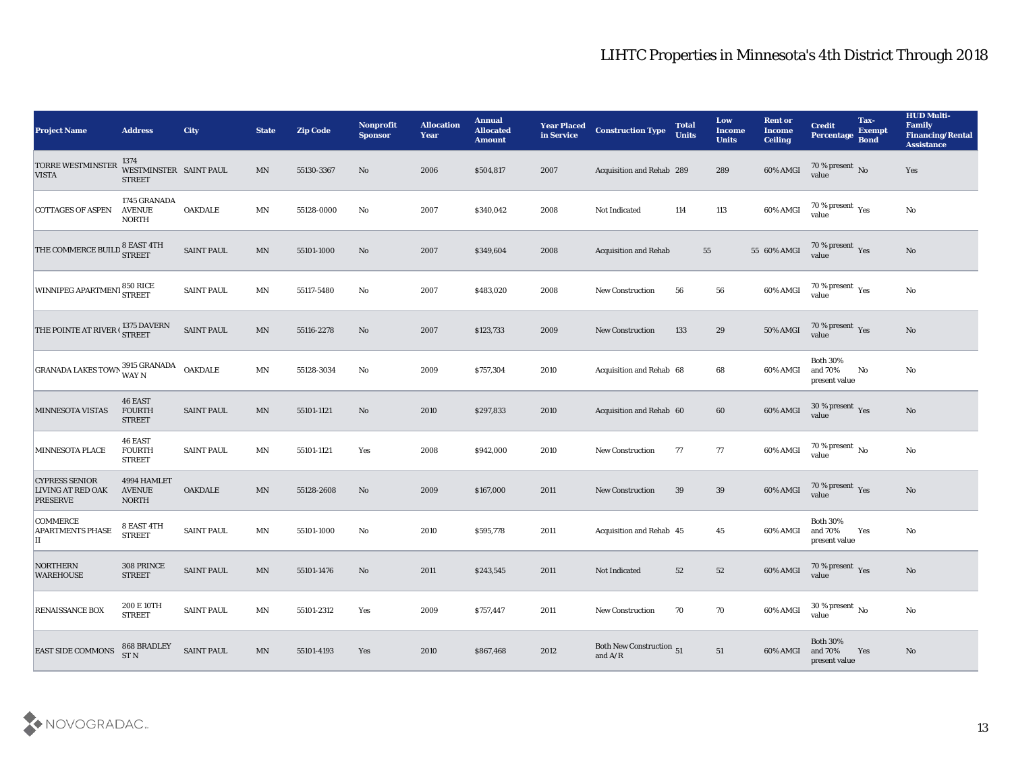| <b>Project Name</b>                                                  | <b>Address</b>                                  | <b>City</b>       | <b>State</b> | <b>Zip Code</b> | Nonprofit<br><b>Sponsor</b> | <b>Allocation</b><br><b>Year</b> | <b>Annual</b><br><b>Allocated</b><br><b>Amount</b> | <b>Year Placed</b><br>in Service | <b>Construction Type</b>                  | <b>Total</b><br><b>Units</b> | Low<br><b>Income</b><br><b>Units</b> | <b>Rent or</b><br><b>Income</b><br>Ceiling | <b>Credit</b><br>Percentage Bond            | Tax-<br><b>Exempt</b> | <b>HUD Multi-</b><br>Family<br><b>Financing/Rental</b><br><b>Assistance</b> |
|----------------------------------------------------------------------|-------------------------------------------------|-------------------|--------------|-----------------|-----------------------------|----------------------------------|----------------------------------------------------|----------------------------------|-------------------------------------------|------------------------------|--------------------------------------|--------------------------------------------|---------------------------------------------|-----------------------|-----------------------------------------------------------------------------|
| <b>TORRE WESTMINSTER</b><br><b>VISTA</b>                             | 1374<br>WESTMINSTER SAINT PAUL<br><b>STREET</b> |                   | MN           | 55130-3367      | No                          | 2006                             | \$504,817                                          | 2007                             | Acquisition and Rehab 289                 |                              | 289                                  | 60% AMGI                                   | $\frac{70\%}{\text{value}}$ No              |                       | Yes                                                                         |
| <b>COTTAGES OF ASPEN</b>                                             | 1745 GRANADA<br><b>AVENUE</b><br><b>NORTH</b>   | <b>OAKDALE</b>    | MN           | 55128-0000      | No                          | 2007                             | \$340,042                                          | 2008                             | Not Indicated                             | 114                          | 113                                  | 60% AMGI                                   | $70\,\%$ present $\,$ Yes value             |                       | No                                                                          |
| THE COMMERCE BUILD $_{\rm STREF}^{8\rm\;EAST\;4TH}$                  |                                                 | <b>SAINT PAUL</b> | MN           | 55101-1000      | No                          | 2007                             | \$349,604                                          | 2008                             | <b>Acquisition and Rehab</b>              | 55                           |                                      | 55 60% AMGI                                | 70 % present Yes<br>value                   |                       | No                                                                          |
| WINNIPEG APARTMENT 850 RICE                                          |                                                 | <b>SAINT PAUL</b> | MN           | 55117-5480      | No                          | 2007                             | \$483,020                                          | 2008                             | <b>New Construction</b>                   | 56                           | 56                                   | 60% AMGI                                   | 70 % present $\gamma_{\rm es}$<br>value     |                       | No                                                                          |
| THE POINTE AT RIVER (STREET                                          |                                                 | <b>SAINT PAUL</b> | MN           | 55116-2278      | No                          | 2007                             | \$123,733                                          | 2009                             | <b>New Construction</b>                   | 133                          | 29                                   | 50% AMGI                                   | $70\,\%$ present $\,$ Yes value             |                       | $\mathbf{N}\mathbf{o}$                                                      |
| GRANADA LAKES TOWN $\frac{3915}{WAY}$ N                              |                                                 | <b>OAKDALE</b>    | MN           | 55128-3034      | No                          | 2009                             | \$757,304                                          | 2010                             | Acquisition and Rehab 68                  |                              | 68                                   | 60% AMGI                                   | <b>Both 30%</b><br>and 70%<br>present value | No                    | No                                                                          |
| <b>MINNESOTA VISTAS</b>                                              | 46 EAST<br><b>FOURTH</b><br><b>STREET</b>       | <b>SAINT PAUL</b> | MN           | 55101-1121      | No                          | 2010                             | \$297,833                                          | 2010                             | Acquisition and Rehab 60                  |                              | 60                                   | 60% AMGI                                   | $30\,\%$ present $\,\mathrm{Yes}$ value     |                       | No                                                                          |
| <b>MINNESOTA PLACE</b>                                               | 46 EAST<br><b>FOURTH</b><br><b>STREET</b>       | <b>SAINT PAUL</b> | MN           | 55101-1121      | Yes                         | 2008                             | \$942,000                                          | 2010                             | <b>New Construction</b>                   | 77                           | 77                                   | 60% AMGI                                   | 70 % present $\,$ No $\,$<br>value          |                       | $\mathbf{N}\mathbf{o}$                                                      |
| <b>CYPRESS SENIOR</b><br><b>LIVING AT RED OAK</b><br><b>PRESERVE</b> | 4994 HAMLET<br><b>AVENUE</b><br><b>NORTH</b>    | <b>OAKDALE</b>    | MN           | 55128-2608      | No                          | 2009                             | \$167,000                                          | 2011                             | <b>New Construction</b>                   | 39                           | 39                                   | 60% AMGI                                   | $70\,\%$ present $\,$ Yes value             |                       | No                                                                          |
| <b>COMMERCE</b><br><b>APARTMENTS PHASE</b><br>IІ                     | 8 EAST 4TH<br><b>STREET</b>                     | <b>SAINT PAUL</b> | MN           | 55101-1000      | No                          | 2010                             | \$595,778                                          | 2011                             | Acquisition and Rehab 45                  |                              | 45                                   | 60% AMGI                                   | <b>Both 30%</b><br>and 70%<br>present value | Yes                   | No                                                                          |
| NORTHERN<br><b>WAREHOUSE</b>                                         | 308 PRINCE<br><b>STREET</b>                     | <b>SAINT PAUL</b> | MN           | 55101-1476      | No                          | 2011                             | \$243,545                                          | 2011                             | Not Indicated                             | 52                           | 52                                   | 60% AMGI                                   | 70 % present Yes<br>value                   |                       | No                                                                          |
| <b>RENAISSANCE BOX</b>                                               | 200 E 10TH<br><b>STREET</b>                     | SAINT PAUL        | MN           | 55101-2312      | Yes                         | 2009                             | \$757,447                                          | 2011                             | <b>New Construction</b>                   | 70                           | 70                                   | 60% AMGI                                   | $30\,\%$ present $\,$ No value              |                       | $\mathbf {No}$                                                              |
| <b>EAST SIDE COMMONS</b>                                             | 868 BRADLEY<br>ST <sub>N</sub>                  | <b>SAINT PAUL</b> | MN           | 55101-4193      | Yes                         | 2010                             | \$867,468                                          | 2012                             | Both New Construction 51<br>and $\rm A/R$ |                              | 51                                   | 60% AMGI                                   | <b>Both 30%</b><br>and 70%<br>present value | Yes                   | $\mathbf{N}\mathbf{o}$                                                      |

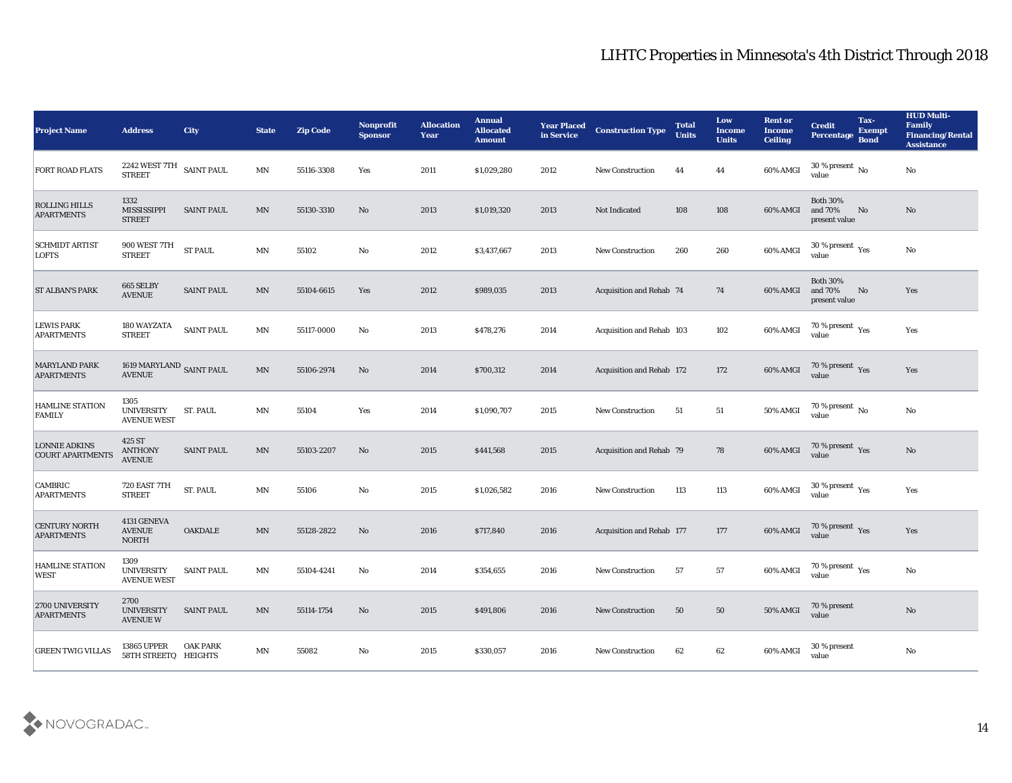| <b>Project Name</b>                             | <b>Address</b>                                  | City              | <b>State</b>             | <b>Zip Code</b> | Nonprofit<br><b>Sponsor</b> | <b>Allocation</b><br><b>Year</b> | <b>Annual</b><br><b>Allocated</b><br><b>Amount</b> | <b>Year Placed</b><br>in Service | <b>Construction Type</b>         | <b>Total</b><br><b>Units</b> | Low<br><b>Income</b><br><b>Units</b> | <b>Rent or</b><br><b>Income</b><br><b>Ceiling</b> | <b>Credit</b><br>Percentage Bond                     | Tax-<br><b>Exempt</b> | <b>HUD Multi-</b><br><b>Family</b><br><b>Financing/Rental</b><br><b>Assistance</b> |
|-------------------------------------------------|-------------------------------------------------|-------------------|--------------------------|-----------------|-----------------------------|----------------------------------|----------------------------------------------------|----------------------------------|----------------------------------|------------------------------|--------------------------------------|---------------------------------------------------|------------------------------------------------------|-----------------------|------------------------------------------------------------------------------------|
| <b>FORT ROAD FLATS</b>                          | 2242 WEST 7TH SAINT PAUL<br><b>STREET</b>       |                   | MN                       | 55116-3308      | Yes                         | 2011                             | \$1,029,280                                        | 2012                             | <b>New Construction</b>          | 44                           | 44                                   | 60% AMGI                                          | $30\,\%$ present $\,$ No $\,$<br>value               |                       | No                                                                                 |
| <b>ROLLING HILLS</b><br><b>APARTMENTS</b>       | 1332<br><b>MISSISSIPPI</b><br><b>STREET</b>     | <b>SAINT PAUL</b> | MN                       | 55130-3310      | No                          | 2013                             | \$1,019,320                                        | 2013                             | Not Indicated                    | 108                          | 108                                  | 60% AMGI                                          | <b>Both 30%</b><br>and 70%<br>present value          | No                    | No                                                                                 |
| <b>SCHMIDT ARTIST</b><br><b>LOFTS</b>           | 900 WEST 7TH<br><b>STREET</b>                   | <b>ST PAUL</b>    | MN                       | 55102           | No                          | 2012                             | \$3,437,667                                        | 2013                             | <b>New Construction</b>          | 260                          | 260                                  | 60% AMGI                                          | 30 % present $\rm\thinspace\gamma_{\rm es}$<br>value |                       | No                                                                                 |
| <b>ST ALBAN'S PARK</b>                          | 665 SELBY<br><b>AVENUE</b>                      | <b>SAINT PAUL</b> | MN                       | 55104-6615      | Yes                         | 2012                             | \$989,035                                          | 2013                             | <b>Acquisition and Rehab 74</b>  |                              | 74                                   | 60% AMGI                                          | <b>Both 30%</b><br>and 70%<br>present value          | No                    | Yes                                                                                |
| <b>LEWIS PARK</b><br><b>APARTMENTS</b>          | 180 WAYZATA<br><b>STREET</b>                    | <b>SAINT PAUL</b> | MN                       | 55117-0000      | No                          | 2013                             | \$478,276                                          | 2014                             | <b>Acquisition and Rehab 103</b> |                              | 102                                  | 60% AMGI                                          | 70 % present $\gamma_{\rm e s}$<br>value             |                       | Yes                                                                                |
| <b>MARYLAND PARK</b><br><b>APARTMENTS</b>       | 1619 MARYLAND SAINT PAUL<br><b>AVENUE</b>       |                   | MN                       | 55106-2974      | No                          | 2014                             | \$700,312                                          | 2014                             | <b>Acquisition and Rehab 172</b> |                              | 172                                  | $60\%$ AMGI                                       | 70 % present Yes<br>value                            |                       | Yes                                                                                |
| <b>HAMLINE STATION</b><br>FAMILY                | 1305<br><b>UNIVERSITY</b><br><b>AVENUE WEST</b> | ST. PAUL          | MN                       | 55104           | Yes                         | 2014                             | \$1,090,707                                        | 2015                             | <b>New Construction</b>          | 51                           | 51                                   | $50\%$ AMGI                                       | $70\,\%$ present $\,$ No value                       |                       | No                                                                                 |
| <b>LONNIE ADKINS</b><br><b>COURT APARTMENTS</b> | 425 ST<br><b>ANTHONY</b><br><b>AVENUE</b>       | <b>SAINT PAUL</b> | MN                       | 55103-2207      | No                          | 2015                             | \$441,568                                          | 2015                             | Acquisition and Rehab 79         |                              | 78                                   | 60% AMGI                                          | 70 % present Yes<br>value                            |                       | No                                                                                 |
| <b>CAMBRIC</b><br><b>APARTMENTS</b>             | 720 EAST 7TH<br><b>STREET</b>                   | ST. PAUL          | MN                       | 55106           | No                          | 2015                             | \$1,026,582                                        | 2016                             | <b>New Construction</b>          | 113                          | 113                                  | $60\%$ AMGI                                       | 30 % present $\rm\thinspace\gamma_{\rm es}$<br>value |                       | Yes                                                                                |
| <b>CENTURY NORTH</b><br><b>APARTMENTS</b>       | 4131 GENEVA<br><b>AVENUE</b><br><b>NORTH</b>    | <b>OAKDALE</b>    | MN                       | 55128-2822      | No                          | 2016                             | \$717,840                                          | 2016                             | <b>Acquisition and Rehab 177</b> |                              | 177                                  | 60% AMGI                                          | 70 % present Yes<br>value                            |                       | Yes                                                                                |
| <b>HAMLINE STATION</b><br><b>WEST</b>           | 1309<br><b>UNIVERSITY</b><br><b>AVENUE WEST</b> | <b>SAINT PAUL</b> | MΝ                       | 55104-4241      | No                          | 2014                             | \$354,655                                          | 2016                             | <b>New Construction</b>          | 57                           | 57                                   | 60% AMGI                                          | 70 % present $_{\rm Yes}$<br>value                   |                       | No                                                                                 |
| 2700 UNIVERSITY<br><b>APARTMENTS</b>            | 2700<br><b>UNIVERSITY</b><br><b>AVENUE W</b>    | <b>SAINT PAUL</b> | $\ensuremath{\text{MN}}$ | 55114-1754      | $\rm\thinspace No$          | 2015                             | \$491,806                                          | 2016                             | New Construction                 | 50                           | $50\,$                               | <b>50% AMGI</b>                                   | 70 % present<br>value                                |                       | $\rm \bf No$                                                                       |
| <b>GREEN TWIG VILLAS</b>                        | <b>13865 UPPER</b><br>58TH STREETQ HEIGHTS      | <b>OAK PARK</b>   | MN                       | 55082           | $\rm\thinspace No$          | 2015                             | \$330,057                                          | 2016                             | <b>New Construction</b>          | 62                           | 62                                   | 60% AMGI                                          | 30 % present<br>value                                |                       | $\mathbf {No}$                                                                     |